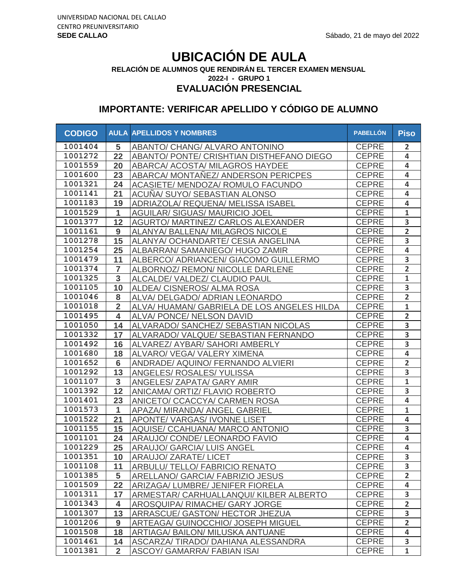# **UBICACIÓN DE AULA**

**RELACIÓN DE ALUMNOS QUE RENDIRÁN EL TERCER EXAMEN MENSUAL**

**2022-I - GRUPO 1**

**EVALUACIÓN PRESENCIAL**

| <b>CODIGO</b> |                | <b>AULA APELLIDOS Y NOMBRES</b>           | <b>PABELLÓN</b> | <b>Piso</b>             |
|---------------|----------------|-------------------------------------------|-----------------|-------------------------|
| 1001404       | 5              | ABANTO/ CHANG/ ALVARO ANTONINO            | <b>CEPRE</b>    | $\overline{2}$          |
| 1001272       | 22             | ABANTO/ PONTE/ CRISHTIAN DISTHEFANO DIEGO | <b>CEPRE</b>    | 4                       |
| 1001559       | 20             | ABARCA/ ACOSTA/ MILAGROS HAYDEE           | <b>CEPRE</b>    | 4                       |
| 1001600       | 23             | ABARCA/ MONTAÑEZ/ ANDERSON PERICPES       | <b>CEPRE</b>    | 4                       |
| 1001321       | 24             | ACASIETE/ MENDOZA/ ROMULO FACUNDO         | <b>CEPRE</b>    | $\overline{\mathbf{4}}$ |
| 1001141       | 21             | ACUÑA/SUYO/SEBASTIAN ALONSO               | <b>CEPRE</b>    | 4                       |
| 1001183       | 19             | ADRIAZOLA/ REQUENA/ MELISSA ISABEL        | <b>CEPRE</b>    | $\overline{\mathbf{4}}$ |
| 1001529       | $\mathbf{1}$   | <b>AGUILAR/ SIGUAS/ MAURICIO JOEL</b>     | <b>CEPRE</b>    | $\mathbf{1}$            |
| 1001377       | 12             | <b>AGURTO/ MARTINEZ/ CARLOS ALEXANDER</b> | <b>CEPRE</b>    | 3                       |
| 1001161       | 9              | <b>ALANYA/ BALLENA/ MILAGROS NICOLE</b>   | <b>CEPRE</b>    | $\overline{2}$          |
| 1001278       | 15             | ALANYA/ OCHANDARTE/ CESIA ANGELINA        | <b>CEPRE</b>    | $\overline{\mathbf{3}}$ |
| 1001254       | 25             | ALBARRAN/ SAMANIEGO/ HUGO ZAMIR           | <b>CEPRE</b>    | $\overline{4}$          |
| 1001479       | 11             | ALBERCO/ ADRIANCEN/ GIACOMO GUILLERMO     | <b>CEPRE</b>    | $\overline{\mathbf{3}}$ |
| 1001374       | $\overline{7}$ | ALBORNOZ/ REMON/ NICOLLE DARLENE          | <b>CEPRE</b>    | $\overline{2}$          |
| 1001325       | 3              | ALCALDE/ VALDEZ/ CLAUDIO PAUL             | <b>CEPRE</b>    | $\mathbf{1}$            |
| 1001105       | 10             | ALDEA/ CISNEROS/ ALMA ROSA                | <b>CEPRE</b>    | $\overline{\mathbf{3}}$ |
| 1001046       | 8              | ALVA/ DELGADO/ ADRIAN LEONARDO            | <b>CEPRE</b>    | $\overline{2}$          |
| 1001018       | $\overline{2}$ | ALVA/HUAMAN/GABRIELA DE LOS ANGELES HILDA | <b>CEPRE</b>    | $\mathbf 1$             |
| 1001495       | 4              | <b>ALVA/ PONCE/ NELSON DAVID</b>          | <b>CEPRE</b>    | $\overline{2}$          |
| 1001050       | 14             | ALVARADO/ SANCHEZ/ SEBASTIAN NICOLAS      | <b>CEPRE</b>    | 3                       |
| 1001332       | 17             | ALVARADO/ VALQUE/ SEBASTIAN FERNANDO      | <b>CEPRE</b>    | $\overline{\mathbf{3}}$ |
| 1001492       | 16             | ALVAREZ/ AYBAR/ SAHORI AMBERLY            | <b>CEPRE</b>    | 3                       |
| 1001680       | 18             | ALVARO/ VEGA/ VALERY XIMENA               | <b>CEPRE</b>    | 4                       |
| 1001652       | 6              | ANDRADE/ AQUINO/ FERNANDO ALVIERI         | <b>CEPRE</b>    | $\overline{2}$          |
| 1001292       | 13             | ANGELES/ ROSALES/ YULISSA                 | <b>CEPRE</b>    | $\overline{\mathbf{3}}$ |
| 1001107       | 3              | ANGELES/ ZAPATA/ GARY AMIR                | <b>CEPRE</b>    | $\mathbf 1$             |
| 1001392       | 12             | ANICAMA/ ORTIZ/ FLAVIO ROBERTO            | <b>CEPRE</b>    | 3                       |
| 1001401       | 23             | ANICETO/ CCACCYA/ CARMEN ROSA             | <b>CEPRE</b>    | $\overline{\mathbf{4}}$ |
| 1001573       | 1              | APAZA/ MIRANDA/ ANGEL GABRIEL             | <b>CEPRE</b>    | $\mathbf{1}$            |
| 1001522       | 21             | APONTE/ VARGAS/ IVONNE LISET              | <b>CEPRE</b>    | $\overline{\mathbf{4}}$ |
| 1001155       | 15             | AQUISE/ CCAHUANA/ MARCO ANTONIO           | <b>CEPRE</b>    | 3                       |
| 1001101       | 24             | ARAUJO/ CONDE/ LEONARDO FAVIO             | <b>CEPRE</b>    | $\overline{\mathbf{4}}$ |
| 1001229       | 25             | <b>ARAUJO/ GARCIA/ LUIS ANGEL</b>         | <b>CEPRE</b>    | $\overline{\mathbf{4}}$ |
| 1001351       | 10             | ARAUJO/ ZARATE/ LICET                     | CEPRE           | $\overline{\mathbf{3}}$ |
| 1001108       | 11             | ARBULU/ TELLO/ FABRICIO RENATO            | <b>CEPRE</b>    | 3                       |
| 1001385       | 5              | ARELLANO/ GARCIA/ FABRIZIO JESUS          | <b>CEPRE</b>    | $\overline{2}$          |
| 1001509       | 22             | ARIZAGA/ LUMBRE/ JENIFER FIORELA          | <b>CEPRE</b>    | $\overline{\mathbf{4}}$ |
| 1001311       | 17             | ARMESTAR/ CARHUALLANQUI/ KILBER ALBERTO   | <b>CEPRE</b>    | 3                       |
| 1001343       | 4              | AROSQUIPA/ RIMACHE/ GARY JORGE            | <b>CEPRE</b>    | $\overline{2}$          |
| 1001307       | 13             | ARRASCUE/ GASTON/ HECTOR JHEZUA           | <b>CEPRE</b>    | $\overline{\mathbf{3}}$ |
| 1001206       | 9              | ARTEAGA/ GUINOCCHIO/ JOSEPH MIGUEL        | <b>CEPRE</b>    | $\overline{2}$          |
| 1001508       | 18             | ARTIAGA/ BAILON/ MILUSKA ANTUANE          | <b>CEPRE</b>    | $\overline{\mathbf{4}}$ |
| 1001461       | 14             | ASCARZA/TIRADO/DAHIANA ALESSANDRA         | <b>CEPRE</b>    | $\overline{\mathbf{3}}$ |
| 1001381       | $\overline{2}$ | <b>ASCOY/ GAMARRA/ FABIAN ISAI</b>        | <b>CEPRE</b>    | $\mathbf{1}$            |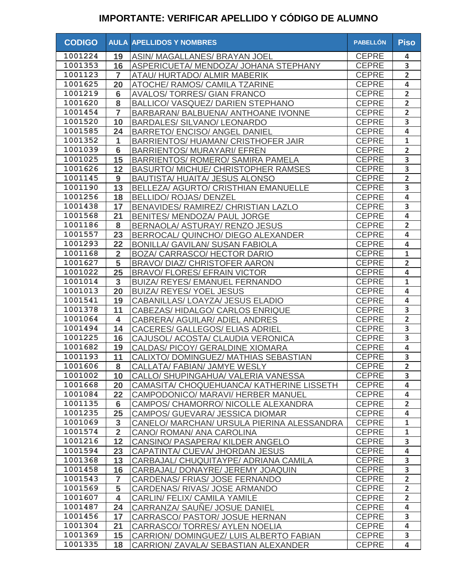| <b>CODIGO</b> |                         | <b>AULA APELLIDOS Y NOMBRES</b>            | <b>PABELLÓN</b> | <b>Piso</b>             |
|---------------|-------------------------|--------------------------------------------|-----------------|-------------------------|
| 1001224       | 19                      | ASIN/ MAGALLANES/ BRAYAN JOEL              | <b>CEPRE</b>    | 4                       |
| 1001353       | 16                      | ASPERICUETA/ MENDOZA/ JOHANA STEPHANY      | <b>CEPRE</b>    | 3                       |
| 1001123       | $\overline{7}$          | ATAU/ HURTADO/ ALMIR MABERIK               | <b>CEPRE</b>    | $\overline{\mathbf{2}}$ |
| 1001625       | 20                      | ATOCHE/ RAMOS/ CAMILA TZARINE              | <b>CEPRE</b>    | $\overline{\mathbf{4}}$ |
| 1001219       | 6                       | <b>AVALOS/TORRES/ GIAN FRANCO</b>          | <b>CEPRE</b>    | $\overline{2}$          |
| 1001620       | 8                       | BALLICO/ VASQUEZ/ DARIEN STEPHANO          | <b>CEPRE</b>    | $\overline{2}$          |
| 1001454       | $\overline{7}$          | BARBARAN/ BALBUENA/ ANTHOANE IVONNE        | <b>CEPRE</b>    | $\overline{2}$          |
| 1001520       | 10                      | <b>BARDALES/ SILVANO/ LEONARDO</b>         | <b>CEPRE</b>    | $\overline{3}$          |
| 1001585       | 24                      | <b>BARRETO/ ENCISO/ ANGEL DANIEL</b>       | <b>CEPRE</b>    | $\overline{\mathbf{4}}$ |
| 1001352       | 1                       | <b>BARRIENTOS/ HUAMAN/ CRISTHOFER JAIR</b> | <b>CEPRE</b>    | $\mathbf{1}$            |
| 1001039       | $6\phantom{1}6$         | <b>BARRIENTOS/ MURAYARI/ EFREN</b>         | <b>CEPRE</b>    | $\overline{2}$          |
| 1001025       | 15                      | <b>BARRIENTOS/ ROMERO/ SAMIRA PAMELA</b>   | <b>CEPRE</b>    | 3                       |
| 1001626       | 12                      | <b>BASURTO/ MICHUE/ CHRISTOPHER RAMSES</b> | <b>CEPRE</b>    | $\overline{\mathbf{3}}$ |
| 1001145       | 9                       | BAUTISTA/ HUAITA/ JESUS ALONSO             | <b>CEPRE</b>    | $\overline{2}$          |
| 1001190       | 13                      | BELLEZA/ AGURTO/ CRISTHIAN EMANUELLE       | <b>CEPRE</b>    | $\overline{\mathbf{3}}$ |
| 1001256       | 18                      | <b>BELLIDO/ ROJAS/ DENZEL</b>              | <b>CEPRE</b>    | $\overline{\mathbf{4}}$ |
| 1001438       | 17                      | BENAVIDES/ RAMIREZ/ CHRISTIAN LAZLO        | <b>CEPRE</b>    | 3                       |
| 1001568       | 21                      | BENITES/ MENDOZA/ PAUL JORGE               | <b>CEPRE</b>    | $\overline{\mathbf{4}}$ |
| 1001186       | 8                       | BERNAOLA/ ASTURAY/ RENZO JESUS             | <b>CEPRE</b>    | $\overline{\mathbf{2}}$ |
| 1001557       | 23                      | BERROCAL/ QUINCHO/ DIEGO ALEXANDER         | <b>CEPRE</b>    | $\overline{\mathbf{4}}$ |
| 1001293       | 22                      | <b>BONILLA/ GAVILAN/ SUSAN FABIOLA</b>     | <b>CEPRE</b>    | $\overline{\mathbf{4}}$ |
| 1001168       | $\overline{2}$          | BOZA/ CARRASCO/ HECTOR DARIO               | <b>CEPRE</b>    | $\mathbf 1$             |
| 1001627       | 5                       | <b>BRAVO/ DIAZ/ CHRISTOFER AARON</b>       | <b>CEPRE</b>    | $\overline{2}$          |
| 1001022       | 25                      | <b>BRAVO/ FLORES/ EFRAIN VICTOR</b>        | <b>CEPRE</b>    | $\overline{\mathbf{4}}$ |
| 1001014       | 3                       | <b>BUIZA/ REYES/ EMANUEL FERNANDO</b>      | <b>CEPRE</b>    | $\mathbf{1}$            |
| 1001013       | 20                      | <b>BUIZA/ REYES/ YOEL JESUS</b>            | <b>CEPRE</b>    | 4                       |
| 1001541       | 19                      | CABANILLAS/ LOAYZA/ JESUS ELADIO           | <b>CEPRE</b>    | $\overline{\mathbf{4}}$ |
| 1001378       | 11                      | CABEZAS/HIDALGO/CARLOS ENRIQUE             | <b>CEPRE</b>    | 3                       |
| 1001064       | $\overline{\mathbf{4}}$ | CABRERA/ AGUILAR/ ADIEL ANDRES             | <b>CEPRE</b>    | $\overline{2}$          |
| 1001494       | 14                      | CACERES/ GALLEGOS/ ELIAS ADRIEL            | <b>CEPRE</b>    | 3                       |
| 1001225       | 16                      | CAJUSOL/ ACOSTA/ CLAUDIA VERONICA          | <b>CEPRE</b>    | 3                       |
| 1001682       | 19                      | CALDAS/ PICOY/ GERALDINE XIOMARA           | <b>CEPRE</b>    | $\overline{\mathbf{4}}$ |
| 1001193       | 11                      | CALIXTO/ DOMINGUEZ/ MATHIAS SEBASTIAN      | <b>CEPRE</b>    | 3                       |
| 1001606       | 8                       | CALLATA/ FABIAN/ JAMYE WESLY               | <b>CEPRE</b>    | $\overline{2}$          |
| 1001002       | 10                      | CALLO/ SHUPINGAHUA/ VALERIA VANESSA        | <b>CEPRE</b>    | $\overline{\mathbf{3}}$ |
| 1001668       | 20                      | CAMASITA/ CHOQUEHUANCA/ KATHERINE LISSETH  | <b>CEPRE</b>    | $\overline{\mathbf{4}}$ |
| 1001084       | 22                      | CAMPODONICO/ MARAVI/ HERBER MANUEL         | <b>CEPRE</b>    | 4                       |
| 1001135       | 6                       | CAMPOS/ CHAMORRO/ NICOLLE ALEXANDRA        | <b>CEPRE</b>    | $\overline{2}$          |
| 1001235       | 25                      | CAMPOS/ GUEVARA/ JESSICA DIOMAR            | <b>CEPRE</b>    | $\overline{4}$          |
| 1001069       | $\mathbf{3}$            | CANELO/ MARCHAN/ URSULA PIERINA ALESSANDRA | <b>CEPRE</b>    | $\mathbf{1}$            |
| 1001574       | $\overline{2}$          | CANO/ ROMAN/ ANA CAROLINA                  | <b>CEPRE</b>    | $\mathbf{1}$            |
| 1001216       | 12                      | CANSINO/ PASAPERA/ KILDER ANGELO           | <b>CEPRE</b>    | 3                       |
| 1001594       | 23                      | CAPATINTA/ CUEVA/ JHORDAN JESUS            | <b>CEPRE</b>    | 4                       |
| 1001368       | 13                      | CARBAJAL/ CHUQUITAYPE/ ADRIANA CAMILA      | <b>CEPRE</b>    | 3                       |
| 1001458       | 16                      | CARBAJAL/ DONAYRE/ JEREMY JOAQUIN          | <b>CEPRE</b>    | 3                       |
| 1001543       | 7                       | CARDENAS/ FRIAS/ JOSE FERNANDO             | <b>CEPRE</b>    | $\overline{2}$          |
| 1001569       | 5                       | CARDENAS/ RIVAS/ JOSE ARMANDO              | <b>CEPRE</b>    | $\overline{2}$          |
| 1001607       | 4                       | CARLIN/ FELIX/ CAMILA YAMILE               | <b>CEPRE</b>    | $\overline{2}$          |
| 1001487       | 24                      | CARRANZA/ SAUNE/ JOSUE DANIEL              | <b>CEPRE</b>    | $\overline{\mathbf{4}}$ |
| 1001456       | 17                      | CARRASCO/ PASTOR/ JOSUE HERNAN             | <b>CEPRE</b>    | 3                       |
| 1001304       | 21                      | CARRASCO/ TORRES/ AYLEN NOELIA             | <b>CEPRE</b>    | 4                       |
| 1001369       | 15                      | CARRION/ DOMINGUEZ/ LUIS ALBERTO FABIAN    | <b>CEPRE</b>    | 3                       |
| 1001335       | 18                      | CARRION/ ZAVALA/ SEBASTIAN ALEXANDER       | <b>CEPRE</b>    | $\overline{\mathbf{4}}$ |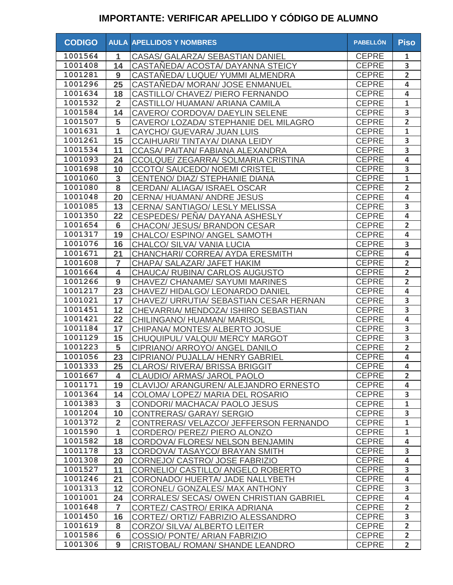| <b>CODIGO</b>      |                         | <b>AULA APELLIDOS Y NOMBRES</b>                                      | <b>PABELLÓN</b> | <b>Piso</b>             |
|--------------------|-------------------------|----------------------------------------------------------------------|-----------------|-------------------------|
| 1001564            | 1                       | CASAS/ GALARZA/ SEBASTIAN DANIEL                                     | <b>CEPRE</b>    | 1                       |
| 1001408            | 14                      | CASTANEDA/ ACOSTA/ DAYANNA STEICY                                    | <b>CEPRE</b>    | $\overline{\mathbf{3}}$ |
| 1001281            | 9                       | CASTANEDA/ LUQUE/ YUMMI ALMENDRA                                     | <b>CEPRE</b>    | $\overline{2}$          |
| 1001296            | 25                      | CASTAÑEDA/ MORAN/ JOSE ENMANUEL                                      | <b>CEPRE</b>    | 4                       |
| 1001634            | 18                      | CASTILLO/ CHAVEZ/ PIERO FERNANDO                                     | <b>CEPRE</b>    | 4                       |
| 1001532            | $\overline{2}$          | CASTILLO/ HUAMAN/ ARIANA CAMILA                                      | <b>CEPRE</b>    | $\mathbf 1$             |
| 1001584            | 14                      | CAVERO/ CORDOVA/ DAEYLIN SELENE                                      | <b>CEPRE</b>    | 3                       |
| 1001507            | 5                       | CAVERO/ LOZADA/ STEPHANIE DEL MILAGRO                                | <b>CEPRE</b>    | $\overline{2}$          |
| 1001631            | $\mathbf{1}$            | CAYCHO/ GUEVARA/ JUAN LUIS                                           | <b>CEPRE</b>    | $\mathbf 1$             |
| 1001261            | 15                      | <b>CCAIHUARI/TINTAYA/DIANA LEIDY</b>                                 | <b>CEPRE</b>    | 3                       |
| 1001534            | 11                      | CCASA/ PAITAN/ FABIANA ALEXANDRA                                     | <b>CEPRE</b>    | 3                       |
| 1001093            | 24                      | CCOLQUE/ ZEGARRA/ SOLMARIA CRISTINA                                  | <b>CEPRE</b>    | $\overline{\mathbf{4}}$ |
| 1001698            | 10                      | CCOTO/ SAUCEDO/ NOEMI CRISTEL                                        | <b>CEPRE</b>    | 3                       |
| 1001060            | $\mathbf{3}$            | CENTENO/ DIAZ/ STEPHANIE DIANA                                       | <b>CEPRE</b>    | $\mathbf 1$             |
| 1001080            | 8                       | CERDAN/ ALIAGA/ ISRAEL OSCAR                                         | <b>CEPRE</b>    | $\overline{2}$          |
| 1001048            | 20                      | <b>CERNA/ HUAMAN/ ANDRE JESUS</b>                                    | <b>CEPRE</b>    | $\overline{\mathbf{4}}$ |
| 1001085            | 13                      | CERNA/ SANTIAGO/ LESLY MELISSA                                       | <b>CEPRE</b>    | 3                       |
| 1001350            | 22                      | CESPEDES/PENA/DAYANA ASHESLY                                         | <b>CEPRE</b>    | $\overline{\mathbf{4}}$ |
| 1001654            | $6\phantom{1}$          | CHACON/ JESUS/ BRANDON CESAR                                         | <b>CEPRE</b>    | $\overline{2}$          |
| 1001317            | 19                      | CHALCO/ ESPINO/ ANGEL SAMOTH                                         | <b>CEPRE</b>    | $\overline{\mathbf{4}}$ |
| 1001076            | 16                      | CHALCO/ SILVA/ VANIA LUCIA                                           | <b>CEPRE</b>    | 3                       |
| 1001671            | 21                      | CHANCHARI/ CORREA/ AYDA ERESMITH                                     | <b>CEPRE</b>    | $\overline{\mathbf{4}}$ |
| 1001608            | $\overline{7}$          | CHAPA/ SALAZAR/ JAFET HAKIM                                          | <b>CEPRE</b>    | $\overline{2}$          |
| 1001664            | $\overline{\mathbf{4}}$ | CHAUCA/ RUBINA/ CARLOS AUGUSTO                                       | <b>CEPRE</b>    | $\overline{2}$          |
| 1001266            | 9                       | CHAVEZ/ CHANAME/ SAYUMI MARINES                                      | <b>CEPRE</b>    | $\overline{2}$          |
| 1001217            | 23                      | CHAVEZ/HIDALGO/LEONARDO DANIEL                                       | <b>CEPRE</b>    | $\overline{\mathbf{4}}$ |
| 1001021            | 17                      | CHAVEZ/ URRUTIA/ SEBASTIAN CESAR HERNAN                              | <b>CEPRE</b>    | 3                       |
| 1001451            | 12                      | CHEVARRIA/ MENDOZA/ ISHIRO SEBASTIAN                                 | <b>CEPRE</b>    | $\overline{\mathbf{3}}$ |
| 1001421            | 22                      | CHILINGANO/ HUAMAN/ MARISOL                                          | <b>CEPRE</b>    | $\overline{\mathbf{4}}$ |
| 1001184            | 17                      | CHIPANA/ MONTES/ ALBERTO JOSUE                                       | <b>CEPRE</b>    | 3                       |
| 1001129            | 15                      | CHUQUIPUL/VALQUI/MERCYMARGOT                                         | <b>CEPRE</b>    | 3                       |
| 1001223            | 5                       | CIPRIANO/ ARROYO/ ANGEL DANILO                                       | <b>CEPRE</b>    | $\overline{2}$          |
| 1001056            | 23                      | CIPRIANO/ PUJALLA/ HENRY GABRIEL                                     | <b>CEPRE</b>    | 4                       |
| 1001333            | 25                      | CLAROS/ RIVERA/ BRISSA BRIGGIT                                       | CEPRE           | $\overline{\mathbf{4}}$ |
| 1001667            | 4                       | CLAUDIO/ ARMAS/ JAROL PAOLO                                          | <b>CEPRE</b>    | $\overline{2}$          |
| 1001171            | 19                      | CLAVIJO/ ARANGUREN/ ALEJANDRO ERNESTO                                | <b>CEPRE</b>    | 4                       |
| 1001364            | 14                      | COLOMA/ LOPEZ/ MARIA DEL ROSARIO                                     | <b>CEPRE</b>    | 3                       |
| 1001383            | $\mathbf{3}$            | CONDORI/ MACHACA/ PAOLO JESUS                                        | <b>CEPRE</b>    | $\mathbf{1}$            |
| 1001204            | 10                      | CONTRERAS/ GARAY/ SERGIO                                             | <b>CEPRE</b>    | 3                       |
| 1001372            | $\overline{2}$          | CONTRERAS/ VELAZCO/ JEFFERSON FERNANDO                               | <b>CEPRE</b>    | $\mathbf{1}$            |
| 1001590            | 1                       | CORDERO/ PEREZ/ PIERO ALONZO                                         | <b>CEPRE</b>    | $\mathbf{1}$            |
| 1001582            | 18                      | CORDOVA/ FLORES/ NELSON BENJAMIN                                     | <b>CEPRE</b>    | $\overline{\mathbf{4}}$ |
| 1001178            | 13                      | CORDOVA/ TASAYCO/ BRAYAN SMITH                                       | <b>CEPRE</b>    | 3                       |
| 1001308            |                         |                                                                      | <b>CEPRE</b>    | $\overline{\mathbf{4}}$ |
| 1001527            | 20<br>11                | CORNEJO/ CASTRO/ JOSE FABRIZIO<br>CORNELIO/ CASTILLO/ ANGELO ROBERTO | <b>CEPRE</b>    | 3                       |
| 1001246            | 21                      | CORONADO/ HUERTA/ JADE NALLYBETH                                     | <b>CEPRE</b>    | $\overline{\mathbf{4}}$ |
| 1001313            | 12                      | CORONEL/ GONZALES/ MAX ANTHONY                                       | <b>CEPRE</b>    | $\overline{\mathbf{3}}$ |
| 1001001            |                         |                                                                      |                 | $\overline{\mathbf{4}}$ |
| 1001648            | 24                      | <b>CORRALES/ SECAS/ OWEN CHRISTIAN GABRIEL</b>                       | <b>CEPRE</b>    | $\overline{2}$          |
|                    | $\overline{7}$          | CORTEZ/ CASTRO/ ERIKA ADRIANA                                        | <b>CEPRE</b>    | $\overline{\mathbf{3}}$ |
| 1001450<br>1001619 | 16                      | CORTEZ/ ORTIZ/ FABRIZIO ALESSANDRO                                   | <b>CEPRE</b>    |                         |
|                    | 8                       | CORZO/ SILVA/ ALBERTO LEITER                                         | <b>CEPRE</b>    | $\overline{2}$          |
| 1001586            | $6\phantom{1}6$         | COSSIO/ PONTE/ ARIAN FABRIZIO                                        | <b>CEPRE</b>    | $\overline{2}$          |
| 1001306            | 9                       | CRISTOBAL/ ROMAN/ SHANDE LEANDRO                                     | <b>CEPRE</b>    | $\overline{2}$          |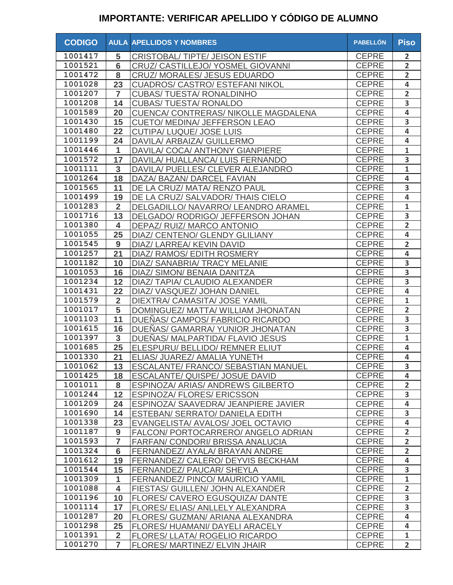| 1001417<br><b>CEPRE</b><br>5<br>CRISTOBAL/TIPTE/JEISON ESTIF<br>$\overline{2}$<br>1001521<br>$6\phantom{1}6$<br><b>CEPRE</b><br>$\overline{2}$<br>CRUZ/ CASTILLEJO/ YOSMEL GIOVANNI<br>1001472<br>8<br><b>CEPRE</b><br>$\overline{2}$<br>CRUZ/ MORALES/ JESUS EDUARDO<br>1001028<br><b>CEPRE</b><br>4<br>23<br><b>CUADROS/ CASTRO/ ESTEFANI NIKOL</b><br>1001207<br><b>CEPRE</b><br>$\overline{2}$<br><b>CUBAS/ TUESTA/ RONALDINHO</b><br>$\overline{7}$<br>1001208<br><b>CEPRE</b><br>3<br>14<br><b>CUBAS/ TUESTA/ RONALDO</b><br>4<br>1001589<br>CUENCA/ CONTRERAS/ NIKOLLE MAGDALENA<br><b>CEPRE</b><br>20<br>3<br>1001430<br><b>CEPRE</b><br>15<br>CUETO/ MEDINA/ JEFFERSON LEAO<br><b>CEPRE</b><br>$\overline{\mathbf{4}}$<br>1001480<br>22<br><b>CUTIPA/ LUQUE/ JOSE LUIS</b><br>24<br><b>CEPRE</b><br>4<br>1001199<br>DAVILA/ ARBAIZA/ GUILLERMO<br>1001446<br><b>CEPRE</b><br>$\mathbf{1}$<br>1<br>DAVILA/ COCA/ ANTHONY GIANPIERE<br>1001572<br>3<br>17<br><b>CEPRE</b><br>DAVILA/HUALLANCA/LUIS FERNANDO<br>1001111<br>$\mathbf{1}$<br>3<br><b>CEPRE</b><br>DAVILA/ PUELLES/ CLEVER ALEJANDRO<br>1001264<br>18<br><b>CEPRE</b><br>4<br>DAZA/ BAZAN/ DARCEL FAVIAN<br>1001565<br>3<br><b>CEPRE</b><br>11<br>DE LA CRUZ/ MATA/ RENZO PAUL<br>1001499<br>4<br><b>CEPRE</b><br>19<br>DE LA CRUZ/ SALVADOR/ THAIS CIELO<br>1001283<br>$\overline{2}$<br><b>CEPRE</b><br>$\mathbf{1}$<br>DELGADILLO/ NAVARRO/ LEANDRO ARAMEL<br>1001716<br>13<br>3<br><b>CEPRE</b><br>DELGADO/ RODRIGO/ JEFFERSON JOHAN<br>$\overline{2}$<br>1001380<br><b>CEPRE</b><br>$\overline{\mathbf{4}}$<br>DEPAZ/ RUIZ/ MARCO ANTONIO<br>4<br>1001055<br><b>CEPRE</b><br>25<br>DIAZ/ CENTENO/ GLENDY GLILIANY<br>$\overline{\mathbf{2}}$<br>1001545<br>9<br>DIAZ/ LARREA/ KEVIN DAVID<br><b>CEPRE</b><br>1001257<br><b>CEPRE</b><br>21<br>DIAZ/ RAMOS/ EDITH ROSMERY<br>4<br>1001182<br>3<br>10<br><b>CEPRE</b><br>DIAZ/ SANABRIA/ TRACY MELANIE<br>1001053<br>3<br>16<br><b>CEPRE</b><br>DIAZ/ SIMON/ BENAIA DANITZA<br>1001234<br>3<br>12<br>DIAZ/ TAPIA/ CLAUDIO ALEXANDER<br><b>CEPRE</b><br>1001431<br>$\overline{\mathbf{4}}$<br>22<br><b>CEPRE</b><br>DIAZ/ VASQUEZ/ JOHAN DANIEL<br>1001579<br>$\overline{2}$<br><b>CEPRE</b><br>$\mathbf{1}$<br>DIEXTRA/ CAMASITA/ JOSE YAMIL<br>1001017<br>5<br><b>CEPRE</b><br>$\overline{\mathbf{2}}$<br>DOMINGUEZ/ MATTA/ WILLIAM JHONATAN | <b>CODIGO</b> |    | <b>AULA APELLIDOS Y NOMBRES</b>  | <b>PABELLÓN</b> | <b>Piso</b> |
|---------------------------------------------------------------------------------------------------------------------------------------------------------------------------------------------------------------------------------------------------------------------------------------------------------------------------------------------------------------------------------------------------------------------------------------------------------------------------------------------------------------------------------------------------------------------------------------------------------------------------------------------------------------------------------------------------------------------------------------------------------------------------------------------------------------------------------------------------------------------------------------------------------------------------------------------------------------------------------------------------------------------------------------------------------------------------------------------------------------------------------------------------------------------------------------------------------------------------------------------------------------------------------------------------------------------------------------------------------------------------------------------------------------------------------------------------------------------------------------------------------------------------------------------------------------------------------------------------------------------------------------------------------------------------------------------------------------------------------------------------------------------------------------------------------------------------------------------------------------------------------------------------------------------------------------------------------------------------------------------------------------------------------------------------------------------------------------------------------------------------------------------------------------------------------------------------------------------------------------------------------------------------------------------------------------------------------------------------------------------|---------------|----|----------------------------------|-----------------|-------------|
|                                                                                                                                                                                                                                                                                                                                                                                                                                                                                                                                                                                                                                                                                                                                                                                                                                                                                                                                                                                                                                                                                                                                                                                                                                                                                                                                                                                                                                                                                                                                                                                                                                                                                                                                                                                                                                                                                                                                                                                                                                                                                                                                                                                                                                                                                                                                                                     |               |    |                                  |                 |             |
|                                                                                                                                                                                                                                                                                                                                                                                                                                                                                                                                                                                                                                                                                                                                                                                                                                                                                                                                                                                                                                                                                                                                                                                                                                                                                                                                                                                                                                                                                                                                                                                                                                                                                                                                                                                                                                                                                                                                                                                                                                                                                                                                                                                                                                                                                                                                                                     |               |    |                                  |                 |             |
|                                                                                                                                                                                                                                                                                                                                                                                                                                                                                                                                                                                                                                                                                                                                                                                                                                                                                                                                                                                                                                                                                                                                                                                                                                                                                                                                                                                                                                                                                                                                                                                                                                                                                                                                                                                                                                                                                                                                                                                                                                                                                                                                                                                                                                                                                                                                                                     |               |    |                                  |                 |             |
|                                                                                                                                                                                                                                                                                                                                                                                                                                                                                                                                                                                                                                                                                                                                                                                                                                                                                                                                                                                                                                                                                                                                                                                                                                                                                                                                                                                                                                                                                                                                                                                                                                                                                                                                                                                                                                                                                                                                                                                                                                                                                                                                                                                                                                                                                                                                                                     |               |    |                                  |                 |             |
|                                                                                                                                                                                                                                                                                                                                                                                                                                                                                                                                                                                                                                                                                                                                                                                                                                                                                                                                                                                                                                                                                                                                                                                                                                                                                                                                                                                                                                                                                                                                                                                                                                                                                                                                                                                                                                                                                                                                                                                                                                                                                                                                                                                                                                                                                                                                                                     |               |    |                                  |                 |             |
|                                                                                                                                                                                                                                                                                                                                                                                                                                                                                                                                                                                                                                                                                                                                                                                                                                                                                                                                                                                                                                                                                                                                                                                                                                                                                                                                                                                                                                                                                                                                                                                                                                                                                                                                                                                                                                                                                                                                                                                                                                                                                                                                                                                                                                                                                                                                                                     |               |    |                                  |                 |             |
|                                                                                                                                                                                                                                                                                                                                                                                                                                                                                                                                                                                                                                                                                                                                                                                                                                                                                                                                                                                                                                                                                                                                                                                                                                                                                                                                                                                                                                                                                                                                                                                                                                                                                                                                                                                                                                                                                                                                                                                                                                                                                                                                                                                                                                                                                                                                                                     |               |    |                                  |                 |             |
|                                                                                                                                                                                                                                                                                                                                                                                                                                                                                                                                                                                                                                                                                                                                                                                                                                                                                                                                                                                                                                                                                                                                                                                                                                                                                                                                                                                                                                                                                                                                                                                                                                                                                                                                                                                                                                                                                                                                                                                                                                                                                                                                                                                                                                                                                                                                                                     |               |    |                                  |                 |             |
|                                                                                                                                                                                                                                                                                                                                                                                                                                                                                                                                                                                                                                                                                                                                                                                                                                                                                                                                                                                                                                                                                                                                                                                                                                                                                                                                                                                                                                                                                                                                                                                                                                                                                                                                                                                                                                                                                                                                                                                                                                                                                                                                                                                                                                                                                                                                                                     |               |    |                                  |                 |             |
|                                                                                                                                                                                                                                                                                                                                                                                                                                                                                                                                                                                                                                                                                                                                                                                                                                                                                                                                                                                                                                                                                                                                                                                                                                                                                                                                                                                                                                                                                                                                                                                                                                                                                                                                                                                                                                                                                                                                                                                                                                                                                                                                                                                                                                                                                                                                                                     |               |    |                                  |                 |             |
|                                                                                                                                                                                                                                                                                                                                                                                                                                                                                                                                                                                                                                                                                                                                                                                                                                                                                                                                                                                                                                                                                                                                                                                                                                                                                                                                                                                                                                                                                                                                                                                                                                                                                                                                                                                                                                                                                                                                                                                                                                                                                                                                                                                                                                                                                                                                                                     |               |    |                                  |                 |             |
|                                                                                                                                                                                                                                                                                                                                                                                                                                                                                                                                                                                                                                                                                                                                                                                                                                                                                                                                                                                                                                                                                                                                                                                                                                                                                                                                                                                                                                                                                                                                                                                                                                                                                                                                                                                                                                                                                                                                                                                                                                                                                                                                                                                                                                                                                                                                                                     |               |    |                                  |                 |             |
|                                                                                                                                                                                                                                                                                                                                                                                                                                                                                                                                                                                                                                                                                                                                                                                                                                                                                                                                                                                                                                                                                                                                                                                                                                                                                                                                                                                                                                                                                                                                                                                                                                                                                                                                                                                                                                                                                                                                                                                                                                                                                                                                                                                                                                                                                                                                                                     |               |    |                                  |                 |             |
|                                                                                                                                                                                                                                                                                                                                                                                                                                                                                                                                                                                                                                                                                                                                                                                                                                                                                                                                                                                                                                                                                                                                                                                                                                                                                                                                                                                                                                                                                                                                                                                                                                                                                                                                                                                                                                                                                                                                                                                                                                                                                                                                                                                                                                                                                                                                                                     |               |    |                                  |                 |             |
|                                                                                                                                                                                                                                                                                                                                                                                                                                                                                                                                                                                                                                                                                                                                                                                                                                                                                                                                                                                                                                                                                                                                                                                                                                                                                                                                                                                                                                                                                                                                                                                                                                                                                                                                                                                                                                                                                                                                                                                                                                                                                                                                                                                                                                                                                                                                                                     |               |    |                                  |                 |             |
|                                                                                                                                                                                                                                                                                                                                                                                                                                                                                                                                                                                                                                                                                                                                                                                                                                                                                                                                                                                                                                                                                                                                                                                                                                                                                                                                                                                                                                                                                                                                                                                                                                                                                                                                                                                                                                                                                                                                                                                                                                                                                                                                                                                                                                                                                                                                                                     |               |    |                                  |                 |             |
|                                                                                                                                                                                                                                                                                                                                                                                                                                                                                                                                                                                                                                                                                                                                                                                                                                                                                                                                                                                                                                                                                                                                                                                                                                                                                                                                                                                                                                                                                                                                                                                                                                                                                                                                                                                                                                                                                                                                                                                                                                                                                                                                                                                                                                                                                                                                                                     |               |    |                                  |                 |             |
|                                                                                                                                                                                                                                                                                                                                                                                                                                                                                                                                                                                                                                                                                                                                                                                                                                                                                                                                                                                                                                                                                                                                                                                                                                                                                                                                                                                                                                                                                                                                                                                                                                                                                                                                                                                                                                                                                                                                                                                                                                                                                                                                                                                                                                                                                                                                                                     |               |    |                                  |                 |             |
|                                                                                                                                                                                                                                                                                                                                                                                                                                                                                                                                                                                                                                                                                                                                                                                                                                                                                                                                                                                                                                                                                                                                                                                                                                                                                                                                                                                                                                                                                                                                                                                                                                                                                                                                                                                                                                                                                                                                                                                                                                                                                                                                                                                                                                                                                                                                                                     |               |    |                                  |                 |             |
|                                                                                                                                                                                                                                                                                                                                                                                                                                                                                                                                                                                                                                                                                                                                                                                                                                                                                                                                                                                                                                                                                                                                                                                                                                                                                                                                                                                                                                                                                                                                                                                                                                                                                                                                                                                                                                                                                                                                                                                                                                                                                                                                                                                                                                                                                                                                                                     |               |    |                                  |                 |             |
|                                                                                                                                                                                                                                                                                                                                                                                                                                                                                                                                                                                                                                                                                                                                                                                                                                                                                                                                                                                                                                                                                                                                                                                                                                                                                                                                                                                                                                                                                                                                                                                                                                                                                                                                                                                                                                                                                                                                                                                                                                                                                                                                                                                                                                                                                                                                                                     |               |    |                                  |                 |             |
|                                                                                                                                                                                                                                                                                                                                                                                                                                                                                                                                                                                                                                                                                                                                                                                                                                                                                                                                                                                                                                                                                                                                                                                                                                                                                                                                                                                                                                                                                                                                                                                                                                                                                                                                                                                                                                                                                                                                                                                                                                                                                                                                                                                                                                                                                                                                                                     |               |    |                                  |                 |             |
|                                                                                                                                                                                                                                                                                                                                                                                                                                                                                                                                                                                                                                                                                                                                                                                                                                                                                                                                                                                                                                                                                                                                                                                                                                                                                                                                                                                                                                                                                                                                                                                                                                                                                                                                                                                                                                                                                                                                                                                                                                                                                                                                                                                                                                                                                                                                                                     |               |    |                                  |                 |             |
|                                                                                                                                                                                                                                                                                                                                                                                                                                                                                                                                                                                                                                                                                                                                                                                                                                                                                                                                                                                                                                                                                                                                                                                                                                                                                                                                                                                                                                                                                                                                                                                                                                                                                                                                                                                                                                                                                                                                                                                                                                                                                                                                                                                                                                                                                                                                                                     |               |    |                                  |                 |             |
|                                                                                                                                                                                                                                                                                                                                                                                                                                                                                                                                                                                                                                                                                                                                                                                                                                                                                                                                                                                                                                                                                                                                                                                                                                                                                                                                                                                                                                                                                                                                                                                                                                                                                                                                                                                                                                                                                                                                                                                                                                                                                                                                                                                                                                                                                                                                                                     |               |    |                                  |                 |             |
|                                                                                                                                                                                                                                                                                                                                                                                                                                                                                                                                                                                                                                                                                                                                                                                                                                                                                                                                                                                                                                                                                                                                                                                                                                                                                                                                                                                                                                                                                                                                                                                                                                                                                                                                                                                                                                                                                                                                                                                                                                                                                                                                                                                                                                                                                                                                                                     |               |    |                                  |                 |             |
|                                                                                                                                                                                                                                                                                                                                                                                                                                                                                                                                                                                                                                                                                                                                                                                                                                                                                                                                                                                                                                                                                                                                                                                                                                                                                                                                                                                                                                                                                                                                                                                                                                                                                                                                                                                                                                                                                                                                                                                                                                                                                                                                                                                                                                                                                                                                                                     |               |    |                                  |                 |             |
|                                                                                                                                                                                                                                                                                                                                                                                                                                                                                                                                                                                                                                                                                                                                                                                                                                                                                                                                                                                                                                                                                                                                                                                                                                                                                                                                                                                                                                                                                                                                                                                                                                                                                                                                                                                                                                                                                                                                                                                                                                                                                                                                                                                                                                                                                                                                                                     |               |    |                                  |                 |             |
|                                                                                                                                                                                                                                                                                                                                                                                                                                                                                                                                                                                                                                                                                                                                                                                                                                                                                                                                                                                                                                                                                                                                                                                                                                                                                                                                                                                                                                                                                                                                                                                                                                                                                                                                                                                                                                                                                                                                                                                                                                                                                                                                                                                                                                                                                                                                                                     | 1001103       | 11 | DUEÑAS/ CAMPOS/ FABRICIO RICARDO | <b>CEPRE</b>    | 3           |
| 1001615<br><b>CEPRE</b><br>3<br>16<br>DUEÑAS/ GAMARRA/ YUNIOR JHONATAN                                                                                                                                                                                                                                                                                                                                                                                                                                                                                                                                                                                                                                                                                                                                                                                                                                                                                                                                                                                                                                                                                                                                                                                                                                                                                                                                                                                                                                                                                                                                                                                                                                                                                                                                                                                                                                                                                                                                                                                                                                                                                                                                                                                                                                                                                              |               |    |                                  |                 |             |
| $\mathbf{3}$<br><b>CEPRE</b><br>1001397<br>$\mathbf{1}$<br>DUEÑAS/ MALPARTIDA/ FLAVIO JESUS                                                                                                                                                                                                                                                                                                                                                                                                                                                                                                                                                                                                                                                                                                                                                                                                                                                                                                                                                                                                                                                                                                                                                                                                                                                                                                                                                                                                                                                                                                                                                                                                                                                                                                                                                                                                                                                                                                                                                                                                                                                                                                                                                                                                                                                                         |               |    |                                  |                 |             |
| 25<br>1001685<br>ELESPURU/ BELLIDO/ REMNER ELIUT<br><b>CEPRE</b><br>4                                                                                                                                                                                                                                                                                                                                                                                                                                                                                                                                                                                                                                                                                                                                                                                                                                                                                                                                                                                                                                                                                                                                                                                                                                                                                                                                                                                                                                                                                                                                                                                                                                                                                                                                                                                                                                                                                                                                                                                                                                                                                                                                                                                                                                                                                               |               |    |                                  |                 |             |
| <b>CEPRE</b><br>1001330<br>ELIAS/ JUAREZ/ AMALIA YUNETH<br>21<br>4                                                                                                                                                                                                                                                                                                                                                                                                                                                                                                                                                                                                                                                                                                                                                                                                                                                                                                                                                                                                                                                                                                                                                                                                                                                                                                                                                                                                                                                                                                                                                                                                                                                                                                                                                                                                                                                                                                                                                                                                                                                                                                                                                                                                                                                                                                  |               |    |                                  |                 |             |
| $\overline{\mathbf{3}}$<br>CEPRE<br>1001062<br>13<br>ESCALANTE/ FRANCO/ SEBASTIAN MANUEL                                                                                                                                                                                                                                                                                                                                                                                                                                                                                                                                                                                                                                                                                                                                                                                                                                                                                                                                                                                                                                                                                                                                                                                                                                                                                                                                                                                                                                                                                                                                                                                                                                                                                                                                                                                                                                                                                                                                                                                                                                                                                                                                                                                                                                                                            |               |    |                                  |                 |             |
| 4<br>1001425<br>18<br><b>ESCALANTE/ QUISPE/ JOSUE DAVID</b><br><b>CEPRE</b>                                                                                                                                                                                                                                                                                                                                                                                                                                                                                                                                                                                                                                                                                                                                                                                                                                                                                                                                                                                                                                                                                                                                                                                                                                                                                                                                                                                                                                                                                                                                                                                                                                                                                                                                                                                                                                                                                                                                                                                                                                                                                                                                                                                                                                                                                         |               |    |                                  |                 |             |
| 1001011<br><b>CEPRE</b><br>$\overline{2}$<br>8<br>ESPINOZA/ ARIAS/ ANDREWS GILBERTO                                                                                                                                                                                                                                                                                                                                                                                                                                                                                                                                                                                                                                                                                                                                                                                                                                                                                                                                                                                                                                                                                                                                                                                                                                                                                                                                                                                                                                                                                                                                                                                                                                                                                                                                                                                                                                                                                                                                                                                                                                                                                                                                                                                                                                                                                 |               |    |                                  |                 |             |
| 12<br>1001244<br><b>CEPRE</b><br>3<br><b>ESPINOZA/ FLORES/ ERICSSON</b>                                                                                                                                                                                                                                                                                                                                                                                                                                                                                                                                                                                                                                                                                                                                                                                                                                                                                                                                                                                                                                                                                                                                                                                                                                                                                                                                                                                                                                                                                                                                                                                                                                                                                                                                                                                                                                                                                                                                                                                                                                                                                                                                                                                                                                                                                             |               |    |                                  |                 |             |
| 1001209<br><b>CEPRE</b><br>24<br>4<br>ESPINOZA/ SAAVEDRA/ JEANPIERE JAVIER                                                                                                                                                                                                                                                                                                                                                                                                                                                                                                                                                                                                                                                                                                                                                                                                                                                                                                                                                                                                                                                                                                                                                                                                                                                                                                                                                                                                                                                                                                                                                                                                                                                                                                                                                                                                                                                                                                                                                                                                                                                                                                                                                                                                                                                                                          |               |    |                                  |                 |             |
| 1001690<br>3<br><b>CEPRE</b><br>14<br>ESTEBAN/ SERRATO/ DANIELA EDITH                                                                                                                                                                                                                                                                                                                                                                                                                                                                                                                                                                                                                                                                                                                                                                                                                                                                                                                                                                                                                                                                                                                                                                                                                                                                                                                                                                                                                                                                                                                                                                                                                                                                                                                                                                                                                                                                                                                                                                                                                                                                                                                                                                                                                                                                                               |               |    |                                  |                 |             |
| 1001338<br>23<br><b>CEPRE</b><br>4<br>EVANGELISTA/ AVALOS/ JOEL OCTAVIO                                                                                                                                                                                                                                                                                                                                                                                                                                                                                                                                                                                                                                                                                                                                                                                                                                                                                                                                                                                                                                                                                                                                                                                                                                                                                                                                                                                                                                                                                                                                                                                                                                                                                                                                                                                                                                                                                                                                                                                                                                                                                                                                                                                                                                                                                             |               |    |                                  |                 |             |
| 1001187<br>9<br><b>CEPRE</b><br>$\overline{2}$<br>FALCON/ PORTOCARRERO/ ANGELO ADRIAN                                                                                                                                                                                                                                                                                                                                                                                                                                                                                                                                                                                                                                                                                                                                                                                                                                                                                                                                                                                                                                                                                                                                                                                                                                                                                                                                                                                                                                                                                                                                                                                                                                                                                                                                                                                                                                                                                                                                                                                                                                                                                                                                                                                                                                                                               |               |    |                                  |                 |             |
| $\overline{7}$<br>1001593<br><b>CEPRE</b><br>$\overline{2}$<br>FARFAN/ CONDORI/ BRISSA ANALUCIA                                                                                                                                                                                                                                                                                                                                                                                                                                                                                                                                                                                                                                                                                                                                                                                                                                                                                                                                                                                                                                                                                                                                                                                                                                                                                                                                                                                                                                                                                                                                                                                                                                                                                                                                                                                                                                                                                                                                                                                                                                                                                                                                                                                                                                                                     |               |    |                                  |                 |             |
| 1001324<br><b>CEPRE</b><br>$6\phantom{1}$<br>$\overline{2}$<br>FERNANDEZ/ AYALA/ BRAYAN ANDRE                                                                                                                                                                                                                                                                                                                                                                                                                                                                                                                                                                                                                                                                                                                                                                                                                                                                                                                                                                                                                                                                                                                                                                                                                                                                                                                                                                                                                                                                                                                                                                                                                                                                                                                                                                                                                                                                                                                                                                                                                                                                                                                                                                                                                                                                       |               |    |                                  |                 |             |
| 1001612<br><b>CEPRE</b><br>19<br>4<br>FERNANDEZ/ CALERO/ DEYVIS BECKHAM                                                                                                                                                                                                                                                                                                                                                                                                                                                                                                                                                                                                                                                                                                                                                                                                                                                                                                                                                                                                                                                                                                                                                                                                                                                                                                                                                                                                                                                                                                                                                                                                                                                                                                                                                                                                                                                                                                                                                                                                                                                                                                                                                                                                                                                                                             |               |    |                                  |                 |             |
| 1001544<br><b>CEPRE</b><br>15<br>FERNANDEZ/ PAUCAR/ SHEYLA<br>3                                                                                                                                                                                                                                                                                                                                                                                                                                                                                                                                                                                                                                                                                                                                                                                                                                                                                                                                                                                                                                                                                                                                                                                                                                                                                                                                                                                                                                                                                                                                                                                                                                                                                                                                                                                                                                                                                                                                                                                                                                                                                                                                                                                                                                                                                                     |               |    |                                  |                 |             |
| 1001309<br>FERNANDEZ/ PINCO/ MAURICIO YAMIL<br><b>CEPRE</b><br>1<br>1                                                                                                                                                                                                                                                                                                                                                                                                                                                                                                                                                                                                                                                                                                                                                                                                                                                                                                                                                                                                                                                                                                                                                                                                                                                                                                                                                                                                                                                                                                                                                                                                                                                                                                                                                                                                                                                                                                                                                                                                                                                                                                                                                                                                                                                                                               |               |    |                                  |                 |             |
| 1001088<br><b>CEPRE</b><br><b>FIESTAS/ GUILLEN/ JOHN ALEXANDER</b><br>$\overline{2}$<br>4                                                                                                                                                                                                                                                                                                                                                                                                                                                                                                                                                                                                                                                                                                                                                                                                                                                                                                                                                                                                                                                                                                                                                                                                                                                                                                                                                                                                                                                                                                                                                                                                                                                                                                                                                                                                                                                                                                                                                                                                                                                                                                                                                                                                                                                                           |               |    |                                  |                 |             |
| 1001196<br>3<br>10<br><b>CEPRE</b><br>FLORES/ CAVERO EGUSQUIZA/ DANTE                                                                                                                                                                                                                                                                                                                                                                                                                                                                                                                                                                                                                                                                                                                                                                                                                                                                                                                                                                                                                                                                                                                                                                                                                                                                                                                                                                                                                                                                                                                                                                                                                                                                                                                                                                                                                                                                                                                                                                                                                                                                                                                                                                                                                                                                                               |               |    |                                  |                 |             |
| 3<br>1001114<br><b>CEPRE</b><br>17<br>FLORES/ ELIAS/ ANLLELY ALEXANDRA                                                                                                                                                                                                                                                                                                                                                                                                                                                                                                                                                                                                                                                                                                                                                                                                                                                                                                                                                                                                                                                                                                                                                                                                                                                                                                                                                                                                                                                                                                                                                                                                                                                                                                                                                                                                                                                                                                                                                                                                                                                                                                                                                                                                                                                                                              |               |    |                                  |                 |             |
| 4<br>1001287<br>20<br>FLORES/ GUZMAN/ ARIANA ALEXANDRA<br><b>CEPRE</b>                                                                                                                                                                                                                                                                                                                                                                                                                                                                                                                                                                                                                                                                                                                                                                                                                                                                                                                                                                                                                                                                                                                                                                                                                                                                                                                                                                                                                                                                                                                                                                                                                                                                                                                                                                                                                                                                                                                                                                                                                                                                                                                                                                                                                                                                                              |               |    |                                  |                 |             |
| 1001298<br>25<br><b>CEPRE</b><br>FLORES/HUAMANI/DAYELI ARACELY<br>4                                                                                                                                                                                                                                                                                                                                                                                                                                                                                                                                                                                                                                                                                                                                                                                                                                                                                                                                                                                                                                                                                                                                                                                                                                                                                                                                                                                                                                                                                                                                                                                                                                                                                                                                                                                                                                                                                                                                                                                                                                                                                                                                                                                                                                                                                                 |               |    |                                  |                 |             |
| 1001391<br>$\mathbf{2}$<br><b>CEPRE</b><br>$\mathbf{1}$<br><b>FLORES/ LLATA/ ROGELIO RICARDO</b>                                                                                                                                                                                                                                                                                                                                                                                                                                                                                                                                                                                                                                                                                                                                                                                                                                                                                                                                                                                                                                                                                                                                                                                                                                                                                                                                                                                                                                                                                                                                                                                                                                                                                                                                                                                                                                                                                                                                                                                                                                                                                                                                                                                                                                                                    |               |    |                                  |                 |             |
| 1001270<br>7<br><b>CEPRE</b><br>FLORES/ MARTINEZ/ ELVIN JHAIR<br>$\overline{2}$                                                                                                                                                                                                                                                                                                                                                                                                                                                                                                                                                                                                                                                                                                                                                                                                                                                                                                                                                                                                                                                                                                                                                                                                                                                                                                                                                                                                                                                                                                                                                                                                                                                                                                                                                                                                                                                                                                                                                                                                                                                                                                                                                                                                                                                                                     |               |    |                                  |                 |             |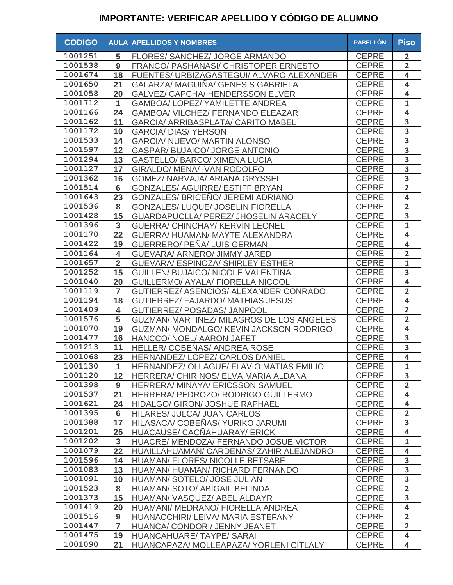| <b>CODIGO</b> |                      | <b>AULA APELLIDOS Y NOMBRES</b>                  | <b>PABELLÓN</b> | <b>Piso</b>             |
|---------------|----------------------|--------------------------------------------------|-----------------|-------------------------|
| 1001251       | 5                    | FLORES/ SANCHEZ/ JORGE ARMANDO                   | <b>CEPRE</b>    | $\overline{2}$          |
| 1001538       | 9                    | FRANCO/ PASHANASI/ CHRISTOPER ERNESTO            | <b>CEPRE</b>    | $\overline{2}$          |
| 1001674       | 18                   | FUENTES/ URBIZAGASTEGUI/ ALVARO ALEXANDER        | <b>CEPRE</b>    | 4                       |
| 1001650       | 21                   | GALARZA/ MAGUIÑA/ GENESIS GABRIELA               | <b>CEPRE</b>    | 4                       |
| 1001058       | 20                   | <b>GALVEZ/ CAPCHA/ HENDERSSON ELVER</b>          | <b>CEPRE</b>    | 4                       |
| 1001712       | $\mathbf 1$          | GAMBOA/ LOPEZ/ YAMILETTE ANDREA                  | <b>CEPRE</b>    | $\mathbf{1}$            |
| 1001166       | 24                   | GAMBOA/ VILCHEZ/ FERNANDO ELEAZAR                | <b>CEPRE</b>    | 4                       |
| 1001162       | 11                   | <b>GARCIA/ ARRIBASPLATA/ CARITO MABEL</b>        | <b>CEPRE</b>    | 3                       |
| 1001172       | 10                   | <b>GARCIA/ DIAS/ YERSON</b>                      | <b>CEPRE</b>    | 3                       |
| 1001533       | 14                   | GARCIA/ NUEVO/ MARTIN ALONSO                     | <b>CEPRE</b>    | 3                       |
| 1001597       | 12                   | <b>GASPAR/ BUJAICO/ JORGE ANTONIO</b>            | <b>CEPRE</b>    | 3                       |
| 1001294       | 13                   | <b>GASTELLO/ BARCO/ XIMENA LUCIA</b>             | <b>CEPRE</b>    | 3                       |
| 1001127       | 17                   | <b>GIRALDO/ MENA/ IVAN RODOLFO</b>               | <b>CEPRE</b>    | 3                       |
| 1001362       | 16                   | GOMEZ/ NARVAJA/ ARIANA GRYSSEL                   | <b>CEPRE</b>    | 3                       |
| 1001514       | $6\phantom{1}6$      | <b>GONZALES/ AGUIRRE/ ESTIFF BRYAN</b>           | <b>CEPRE</b>    | $\overline{2}$          |
| 1001643       | 23                   | <b>GONZALES/ BRICENO/ JEREMI ADRIANO</b>         | <b>CEPRE</b>    | 4                       |
| 1001536       | 8                    | <b>GONZALES/ LUQUE/ JOSELIN FIORELLA</b>         | <b>CEPRE</b>    | $\overline{2}$          |
| 1001428       | 15                   | GUARDAPUCLLA/ PEREZ/ JHOSELIN ARACELY            | <b>CEPRE</b>    | 3                       |
| 1001396       | $\overline{3}$       | <b>GUERRA/ CHINCHAY/ KERVIN LEONEL</b>           | <b>CEPRE</b>    | $\mathbf{1}$            |
| 1001170       | 22                   | GUERRA/ HUAMAN/ MAYTE ALEXANDRA                  | <b>CEPRE</b>    | $\overline{\mathbf{4}}$ |
| 1001422       | 19                   | <b>GUERRERO/ PENA/ LUIS GERMAN</b>               | <b>CEPRE</b>    | 4                       |
| 1001164       | 4                    | GUEVARA/ ARNERO/ JIMMY JARED                     | <b>CEPRE</b>    | $\overline{2}$          |
| 1001657       | $\overline{2}$       | <b>GUEVARA/ ESPINOZA/ SHIRLEY ESTHER</b>         | <b>CEPRE</b>    | $\mathbf{1}$            |
| 1001252       | 15                   | GUILLEN/ BUJAICO/ NICOLE VALENTINA               | <b>CEPRE</b>    | $\overline{\mathbf{3}}$ |
| 1001040       | 20                   | GUILLERMO/ AYALA/ FIORELLA NICOOL                | <b>CEPRE</b>    | $\overline{\mathbf{4}}$ |
| 1001119       | $\overline{7}$       | GUTIERREZ/ ASENCIOS/ ALEXANDER CONRADO           | <b>CEPRE</b>    | $\overline{2}$          |
| 1001194       | 18                   | <b>GUTIERREZ/ FAJARDO/ MATHIAS JESUS</b>         | <b>CEPRE</b>    | $\overline{\mathbf{4}}$ |
| 1001409       | 4                    | <b>GUTIERREZ/ POSADAS/ JANPOOL</b>               | <b>CEPRE</b>    | $\overline{2}$          |
| 1001576       | 5                    | <b>GUZMAN/ MARTINEZ/ MILAGROS DE LOS ANGELES</b> | <b>CEPRE</b>    | $\overline{2}$          |
| 1001070       | 19                   | GUZMAN/ MONDALGO/ KEVIN JACKSON RODRIGO          | <b>CEPRE</b>    | 4                       |
| 1001477       | 16                   | HANCCO/ NOEL/ AARON JAFET                        | <b>CEPRE</b>    | 3                       |
| 1001213       | 11                   | <b>HELLER/COBENAS/ ANDREA ROSE</b>               | <b>CEPRE</b>    | 3                       |
| 1001068       | 23                   | HERNANDEZ/ LOPEZ/ CARLOS DANIEL                  | <b>CEPRE</b>    | 4                       |
| 1001130       | $\blacktriangleleft$ | HERNANDEZ/ OLLAGUE/ FLAVIO MATIAS EMILIO         | CEPRE           | $\mathbf{1}$            |
| 1001120       | 12                   | HERRERA/ CHIRINOS/ ELVA MARIA ALDANA             | <b>CEPRE</b>    | 3                       |
| 1001398       | 9                    | HERRERA/ MINAYA/ ERICSSON SAMUEL                 | <b>CEPRE</b>    | $\overline{2}$          |
| 1001537       | 21                   | HERRERA/ PEDROZO/ RODRIGO GUILLERMO              | <b>CEPRE</b>    | 4                       |
| 1001621       | 24                   | HIDALGO/ GIRON/ JOSHUE RAPHAEL                   | <b>CEPRE</b>    | $\overline{\mathbf{4}}$ |
| 1001395       | 6                    | HILARES/ JULCA/ JUAN CARLOS                      | <b>CEPRE</b>    | $\overline{2}$          |
| 1001388       | 17                   | HILASACA/ COBEÑAS/ YURIKO JARUMI                 | <b>CEPRE</b>    | 3                       |
| 1001201       | 25                   | HUACAUSE/ CACNAHUARAY/ ERICK                     | <b>CEPRE</b>    | $\overline{\mathbf{4}}$ |
| 1001202       | $\overline{3}$       | HUACRE/ MENDOZA/ FERNANDO JOSUE VICTOR           | <b>CEPRE</b>    | $\mathbf{1}$            |
| 1001079       | 22                   | HUAILLAHUAMAN/ CARDENAS/ ZAHIR ALEJANDRO         | <b>CEPRE</b>    | 4                       |
| 1001596       | 14                   | HUAMAN/ FLORES/ NICOLLE BETSABE                  | <b>CEPRE</b>    | 3                       |
| 1001083       | 13                   | HUAMAN/HUAMAN/RICHARD FERNANDO                   | <b>CEPRE</b>    | $\overline{\mathbf{3}}$ |
| 1001091       | 10                   | HUAMAN/ SOTELO/ JOSE JULIAN                      | <b>CEPRE</b>    | $\overline{\mathbf{3}}$ |
| 1001523       | 8                    | HUAMAN/ SOTO/ ABIGAIL BELINDA                    | <b>CEPRE</b>    | $\overline{2}$          |
| 1001373       | 15                   | HUAMAN/VASQUEZ/ABEL ALDAYR                       | <b>CEPRE</b>    | $\overline{\mathbf{3}}$ |
| 1001419       | 20                   | HUAMANI/ MEDRANO/ FIORELLA ANDREA                | <b>CEPRE</b>    | $\overline{\mathbf{4}}$ |
| 1001516       | 9                    | HUANACCHIRI/ LEIVA/ MARIA ESTEFANY               | <b>CEPRE</b>    | $\overline{2}$          |
| 1001447       | $\overline{7}$       | HUANCA/ CONDORI/ JENNY JEANET                    | <b>CEPRE</b>    | $\overline{2}$          |
| 1001475       | 19                   | HUANCAHUARE/ TAYPE/ SARAI                        | <b>CEPRE</b>    | $\overline{\mathbf{4}}$ |
| 1001090       | 21                   | HUANCAPAZA/ MOLLEAPAZA/ YORLENI CITLALY          | <b>CEPRE</b>    | 4                       |
|               |                      |                                                  |                 |                         |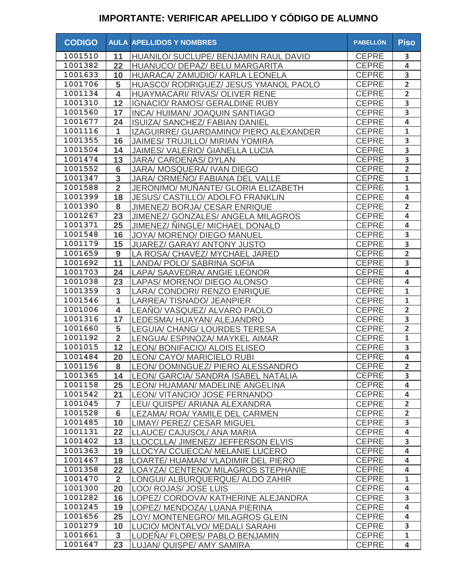| 1001510<br><b>CEPRE</b><br>11<br>3<br>HUANILO/ SUCLUPE/ BENJAMIN RAUL DAVID<br><b>CEPRE</b><br>1001382<br>4<br>22<br>HUANUCO/ DEPAZ/ BELU MARGARITA<br>3<br>1001633<br><b>CEPRE</b><br>10<br>HUARACA/ ZAMUDIO/ KARLA LEONELA<br>$\overline{2}$<br>1001706<br>5<br><b>CEPRE</b><br>HUASCO/ RODRIGUEZ/ JESUS YMANOL PAOLO<br>1001134<br><b>CEPRE</b><br>$\overline{\mathbf{2}}$<br>4<br>HUAYMACARI/ RIVAS/ OLIVER RENE<br>$\overline{\mathbf{3}}$<br>12<br>1001310<br><b>CEPRE</b><br>IGNACIO/ RAMOS/ GERALDINE RUBY<br>$\overline{\mathbf{3}}$<br>1001560<br>17<br><b>CEPRE</b><br>INCA/HUIMAN/JOAQUIN SANTIAGO<br>$\overline{\mathbf{4}}$<br>1001677<br><b>CEPRE</b><br>24<br>ISUIZA/ SANCHEZ/ FABIAN DANIEL<br>$\overline{\mathbf{1}}$<br>1001116<br>$\mathbf{1}$<br><b>CEPRE</b><br>IZAGUIRRE/ GUARDAMINO/ PIERO ALEXANDER<br>$\overline{\mathbf{3}}$<br>1001355<br>16<br><b>CEPRE</b><br><b>JAIMES/ TRUJILLO/ MIRIAN YOMIRA</b><br>$\overline{\mathbf{3}}$<br>1001504<br><b>CEPRE</b><br>14<br><b>JAIMES/ VALERIO/ GIANELLA LUCIA</b><br>$\overline{\mathbf{3}}$<br>1001474<br>13<br><b>CEPRE</b><br>JARA/ CARDENAS/ DYLAN<br>$\overline{2}$<br>1001552<br><b>CEPRE</b><br>$6\phantom{1}$<br>JARA/ MOSQUERA/ IVAN DIEGO<br>1001347<br>3<br><b>CEPRE</b><br>$\mathbf{1}$<br>JARA/ ORMEÑO/ FABIANA DEL VALLE<br>$\overline{2}$<br>1001588<br>$\mathbf{1}$<br><b>CEPRE</b><br>JERONIMO/ MUÑANTE/ GLORIA ELIZABETH<br>1001399<br>18<br><b>CEPRE</b><br>4<br><b>JESUS/ CASTILLO/ ADOLFO FRANKLIN</b><br>$\overline{\mathbf{2}}$<br>1001390<br>8<br><b>CEPRE</b><br>JIMENEZ/ BORJA/ CESAR ENRIQUE<br>1001267<br><b>CEPRE</b><br>4<br>23<br><b>JIMENEZ/ GONZALES/ ANGELA MILAGROS</b><br>$\overline{\mathbf{4}}$<br>1001371<br>25<br>JIMENEZ/ NINGLE/ MICHAEL DONALD<br><b>CEPRE</b><br>3<br>1001548<br>16<br>JOYA/ MORENO/ DIEGO MANUEL<br><b>CEPRE</b><br>3<br>1001179<br>15<br><b>CEPRE</b><br>JUAREZ/ GARAY/ ANTONY JUSTO<br>$\overline{2}$<br>1001659<br>LA ROSA/ CHAVEZ/ MYCHAEL JARED<br><b>CEPRE</b><br>9<br>3<br>1001692<br>11<br>LANDA/ POLO/ SABRINA SOFIA<br><b>CEPRE</b><br>1001703<br>4<br>24<br>LAPA/ SAAVEDRA/ ANGIE LEONOR<br><b>CEPRE</b><br>1001038<br>4<br>23<br><b>CEPRE</b><br>LAPAS/ MORENO/ DIEGO ALONSO<br>1001359<br>3<br>$\mathbf{1}$<br><b>CEPRE</b><br>LARA/ CONDORI/ RENZO ENRIQUE<br>1001546<br><b>CEPRE</b><br>1<br>$\mathbf{1}$<br><b>LARREA/TISNADO/JEANPIER</b><br>1001006<br>$\overline{2}$<br><b>CEPRE</b><br>4<br>LEANO/ VASQUEZ/ ALVARO PAOLO<br>1001316<br><b>CEPRE</b><br>17<br>3<br>LEDESMA/HUAYAN/ALEJANDRO<br>5<br><b>CEPRE</b><br>$\overline{2}$<br>1001660<br>LEGUIA/ CHANG/ LOURDES TERESA<br>$\overline{2}$<br>$\mathbf{1}$<br>1001192<br><b>CEPRE</b><br>LENGUA/ ESPINOZA/ MAYKEL AIMAR<br>12<br>$\overline{\mathbf{3}}$<br>1001015<br><b>CEPRE</b><br>LEON/ BONIFACIO/ ALOIS ELISEO<br><b>CEPRE</b><br>$\overline{\mathbf{4}}$<br>1001484<br>LEON/ CAYO/ MARICIELO RUBI<br>20<br>LEON/DOMINGUEZ/PIERO ALESSANDRO<br><b>CEPRE</b><br>$\overline{2}$<br>1001156<br>8<br>$\overline{\mathbf{3}}$<br>1001365<br><b>CEPRE</b><br>14<br>LEON/ GARCIA/ SANDRA ISABEL NATALIA<br>4<br>1001158<br>25<br><b>CEPRE</b><br>LEON/ HUAMAN/ MADELINE ANGELINA<br>1001542<br><b>CEPRE</b><br>21<br>4<br>LEON/VITANCIO/JOSE FERNANDO<br>1001045<br>$\overline{2}$<br>$\overline{7}$<br><b>CEPRE</b><br>LEU/ QUISPE/ ARIANA ALEXANDRA<br>1001528<br>$6\phantom{1}$<br>$\overline{2}$<br><b>CEPRE</b><br>LEZAMA/ ROA/ YAMILE DEL CARMEN<br>1001485<br>3<br>10<br><b>CEPRE</b><br>LIMAY/ PEREZ/ CESAR MIGUEL<br>1001131<br>4<br>22<br><b>CEPRE</b><br>LLAUCE/ CAJUSOL/ ANA MARIA<br>1001402<br><b>CEPRE</b><br>$\overline{\mathbf{3}}$<br>13<br>LLOCCLLA/ JIMENEZ/ JEFFERSON ELVIS<br>1001363<br><b>CEPRE</b><br>19<br>$\overline{\mathbf{4}}$<br>LLOCYA/ CCUECCA/ MELANIE LUCERO<br>1001467<br><b>CEPRE</b><br>18<br>4<br>LOARTE/ HUAMAN/ VLADIMIR DEL PIERO<br>1001358<br>22<br>LOAYZA/ CENTENO/ MILAGROS STEPHANIE<br><b>CEPRE</b><br>4<br>1001470<br><b>CEPRE</b><br>$\mathbf{1}$<br>$\overline{2}$<br>LONGUI/ ALBURQUERQUE/ ALDO ZAHIR<br>1001300<br>4<br>20<br><b>CEPRE</b><br>LOO/ ROJAS/ JOSE LUIS<br>3<br>1001282<br><b>CEPRE</b><br>16<br>LOPEZ/ CORDOVA/ KATHERINE ALEJANDRA<br>$\overline{\mathbf{4}}$<br>1001245<br>19<br>LOPEZ/ MENDOZA/ LUANA PIERINA<br><b>CEPRE</b><br>25<br>1001656<br><b>CEPRE</b><br>4<br>LOY/ MONTENEGRO/ MILAGROS GLEIN<br>1001279<br>3<br>10<br><b>CEPRE</b><br>LUCIO/ MONTALVO/ MEDALI SARAHI<br>1001661<br><b>CEPRE</b><br>$\mathbf{1}$<br>3<br>LUDENA/ FLORES/ PABLO BENJAMIN<br>1001647<br>23<br><b>CEPRE</b><br>LUJAN/ QUISPE/ AMY SAMIRA<br>4 | <b>CODIGO</b> | <b>AULA APELLIDOS Y NOMBRES</b> | <b>PABELLÓN</b> | <b>Piso</b> |
|----------------------------------------------------------------------------------------------------------------------------------------------------------------------------------------------------------------------------------------------------------------------------------------------------------------------------------------------------------------------------------------------------------------------------------------------------------------------------------------------------------------------------------------------------------------------------------------------------------------------------------------------------------------------------------------------------------------------------------------------------------------------------------------------------------------------------------------------------------------------------------------------------------------------------------------------------------------------------------------------------------------------------------------------------------------------------------------------------------------------------------------------------------------------------------------------------------------------------------------------------------------------------------------------------------------------------------------------------------------------------------------------------------------------------------------------------------------------------------------------------------------------------------------------------------------------------------------------------------------------------------------------------------------------------------------------------------------------------------------------------------------------------------------------------------------------------------------------------------------------------------------------------------------------------------------------------------------------------------------------------------------------------------------------------------------------------------------------------------------------------------------------------------------------------------------------------------------------------------------------------------------------------------------------------------------------------------------------------------------------------------------------------------------------------------------------------------------------------------------------------------------------------------------------------------------------------------------------------------------------------------------------------------------------------------------------------------------------------------------------------------------------------------------------------------------------------------------------------------------------------------------------------------------------------------------------------------------------------------------------------------------------------------------------------------------------------------------------------------------------------------------------------------------------------------------------------------------------------------------------------------------------------------------------------------------------------------------------------------------------------------------------------------------------------------------------------------------------------------------------------------------------------------------------------------------------------------------------------------------------------------------------------------------------------------------------------------------------------------------------------------------------------------------------------------------------------------------------------------------------------------------------------------------------------------------------------------------------------------------------------------------------------------------------------------------------------------------------------------------------------------------------------------------------------------------------------------------------------------------------------------------------------------------------------------------------------------------------------------------------------------------------------------------------------------------------------------------------------------------------------------------------------------------------------------------------------------------------------------------------|---------------|---------------------------------|-----------------|-------------|
|                                                                                                                                                                                                                                                                                                                                                                                                                                                                                                                                                                                                                                                                                                                                                                                                                                                                                                                                                                                                                                                                                                                                                                                                                                                                                                                                                                                                                                                                                                                                                                                                                                                                                                                                                                                                                                                                                                                                                                                                                                                                                                                                                                                                                                                                                                                                                                                                                                                                                                                                                                                                                                                                                                                                                                                                                                                                                                                                                                                                                                                                                                                                                                                                                                                                                                                                                                                                                                                                                                                                                                                                                                                                                                                                                                                                                                                                                                                                                                                                                                                                                                                                                                                                                                                                                                                                                                                                                                                                                                                                                                                                                      |               |                                 |                 |             |
|                                                                                                                                                                                                                                                                                                                                                                                                                                                                                                                                                                                                                                                                                                                                                                                                                                                                                                                                                                                                                                                                                                                                                                                                                                                                                                                                                                                                                                                                                                                                                                                                                                                                                                                                                                                                                                                                                                                                                                                                                                                                                                                                                                                                                                                                                                                                                                                                                                                                                                                                                                                                                                                                                                                                                                                                                                                                                                                                                                                                                                                                                                                                                                                                                                                                                                                                                                                                                                                                                                                                                                                                                                                                                                                                                                                                                                                                                                                                                                                                                                                                                                                                                                                                                                                                                                                                                                                                                                                                                                                                                                                                                      |               |                                 |                 |             |
|                                                                                                                                                                                                                                                                                                                                                                                                                                                                                                                                                                                                                                                                                                                                                                                                                                                                                                                                                                                                                                                                                                                                                                                                                                                                                                                                                                                                                                                                                                                                                                                                                                                                                                                                                                                                                                                                                                                                                                                                                                                                                                                                                                                                                                                                                                                                                                                                                                                                                                                                                                                                                                                                                                                                                                                                                                                                                                                                                                                                                                                                                                                                                                                                                                                                                                                                                                                                                                                                                                                                                                                                                                                                                                                                                                                                                                                                                                                                                                                                                                                                                                                                                                                                                                                                                                                                                                                                                                                                                                                                                                                                                      |               |                                 |                 |             |
|                                                                                                                                                                                                                                                                                                                                                                                                                                                                                                                                                                                                                                                                                                                                                                                                                                                                                                                                                                                                                                                                                                                                                                                                                                                                                                                                                                                                                                                                                                                                                                                                                                                                                                                                                                                                                                                                                                                                                                                                                                                                                                                                                                                                                                                                                                                                                                                                                                                                                                                                                                                                                                                                                                                                                                                                                                                                                                                                                                                                                                                                                                                                                                                                                                                                                                                                                                                                                                                                                                                                                                                                                                                                                                                                                                                                                                                                                                                                                                                                                                                                                                                                                                                                                                                                                                                                                                                                                                                                                                                                                                                                                      |               |                                 |                 |             |
|                                                                                                                                                                                                                                                                                                                                                                                                                                                                                                                                                                                                                                                                                                                                                                                                                                                                                                                                                                                                                                                                                                                                                                                                                                                                                                                                                                                                                                                                                                                                                                                                                                                                                                                                                                                                                                                                                                                                                                                                                                                                                                                                                                                                                                                                                                                                                                                                                                                                                                                                                                                                                                                                                                                                                                                                                                                                                                                                                                                                                                                                                                                                                                                                                                                                                                                                                                                                                                                                                                                                                                                                                                                                                                                                                                                                                                                                                                                                                                                                                                                                                                                                                                                                                                                                                                                                                                                                                                                                                                                                                                                                                      |               |                                 |                 |             |
|                                                                                                                                                                                                                                                                                                                                                                                                                                                                                                                                                                                                                                                                                                                                                                                                                                                                                                                                                                                                                                                                                                                                                                                                                                                                                                                                                                                                                                                                                                                                                                                                                                                                                                                                                                                                                                                                                                                                                                                                                                                                                                                                                                                                                                                                                                                                                                                                                                                                                                                                                                                                                                                                                                                                                                                                                                                                                                                                                                                                                                                                                                                                                                                                                                                                                                                                                                                                                                                                                                                                                                                                                                                                                                                                                                                                                                                                                                                                                                                                                                                                                                                                                                                                                                                                                                                                                                                                                                                                                                                                                                                                                      |               |                                 |                 |             |
|                                                                                                                                                                                                                                                                                                                                                                                                                                                                                                                                                                                                                                                                                                                                                                                                                                                                                                                                                                                                                                                                                                                                                                                                                                                                                                                                                                                                                                                                                                                                                                                                                                                                                                                                                                                                                                                                                                                                                                                                                                                                                                                                                                                                                                                                                                                                                                                                                                                                                                                                                                                                                                                                                                                                                                                                                                                                                                                                                                                                                                                                                                                                                                                                                                                                                                                                                                                                                                                                                                                                                                                                                                                                                                                                                                                                                                                                                                                                                                                                                                                                                                                                                                                                                                                                                                                                                                                                                                                                                                                                                                                                                      |               |                                 |                 |             |
|                                                                                                                                                                                                                                                                                                                                                                                                                                                                                                                                                                                                                                                                                                                                                                                                                                                                                                                                                                                                                                                                                                                                                                                                                                                                                                                                                                                                                                                                                                                                                                                                                                                                                                                                                                                                                                                                                                                                                                                                                                                                                                                                                                                                                                                                                                                                                                                                                                                                                                                                                                                                                                                                                                                                                                                                                                                                                                                                                                                                                                                                                                                                                                                                                                                                                                                                                                                                                                                                                                                                                                                                                                                                                                                                                                                                                                                                                                                                                                                                                                                                                                                                                                                                                                                                                                                                                                                                                                                                                                                                                                                                                      |               |                                 |                 |             |
|                                                                                                                                                                                                                                                                                                                                                                                                                                                                                                                                                                                                                                                                                                                                                                                                                                                                                                                                                                                                                                                                                                                                                                                                                                                                                                                                                                                                                                                                                                                                                                                                                                                                                                                                                                                                                                                                                                                                                                                                                                                                                                                                                                                                                                                                                                                                                                                                                                                                                                                                                                                                                                                                                                                                                                                                                                                                                                                                                                                                                                                                                                                                                                                                                                                                                                                                                                                                                                                                                                                                                                                                                                                                                                                                                                                                                                                                                                                                                                                                                                                                                                                                                                                                                                                                                                                                                                                                                                                                                                                                                                                                                      |               |                                 |                 |             |
|                                                                                                                                                                                                                                                                                                                                                                                                                                                                                                                                                                                                                                                                                                                                                                                                                                                                                                                                                                                                                                                                                                                                                                                                                                                                                                                                                                                                                                                                                                                                                                                                                                                                                                                                                                                                                                                                                                                                                                                                                                                                                                                                                                                                                                                                                                                                                                                                                                                                                                                                                                                                                                                                                                                                                                                                                                                                                                                                                                                                                                                                                                                                                                                                                                                                                                                                                                                                                                                                                                                                                                                                                                                                                                                                                                                                                                                                                                                                                                                                                                                                                                                                                                                                                                                                                                                                                                                                                                                                                                                                                                                                                      |               |                                 |                 |             |
|                                                                                                                                                                                                                                                                                                                                                                                                                                                                                                                                                                                                                                                                                                                                                                                                                                                                                                                                                                                                                                                                                                                                                                                                                                                                                                                                                                                                                                                                                                                                                                                                                                                                                                                                                                                                                                                                                                                                                                                                                                                                                                                                                                                                                                                                                                                                                                                                                                                                                                                                                                                                                                                                                                                                                                                                                                                                                                                                                                                                                                                                                                                                                                                                                                                                                                                                                                                                                                                                                                                                                                                                                                                                                                                                                                                                                                                                                                                                                                                                                                                                                                                                                                                                                                                                                                                                                                                                                                                                                                                                                                                                                      |               |                                 |                 |             |
|                                                                                                                                                                                                                                                                                                                                                                                                                                                                                                                                                                                                                                                                                                                                                                                                                                                                                                                                                                                                                                                                                                                                                                                                                                                                                                                                                                                                                                                                                                                                                                                                                                                                                                                                                                                                                                                                                                                                                                                                                                                                                                                                                                                                                                                                                                                                                                                                                                                                                                                                                                                                                                                                                                                                                                                                                                                                                                                                                                                                                                                                                                                                                                                                                                                                                                                                                                                                                                                                                                                                                                                                                                                                                                                                                                                                                                                                                                                                                                                                                                                                                                                                                                                                                                                                                                                                                                                                                                                                                                                                                                                                                      |               |                                 |                 |             |
|                                                                                                                                                                                                                                                                                                                                                                                                                                                                                                                                                                                                                                                                                                                                                                                                                                                                                                                                                                                                                                                                                                                                                                                                                                                                                                                                                                                                                                                                                                                                                                                                                                                                                                                                                                                                                                                                                                                                                                                                                                                                                                                                                                                                                                                                                                                                                                                                                                                                                                                                                                                                                                                                                                                                                                                                                                                                                                                                                                                                                                                                                                                                                                                                                                                                                                                                                                                                                                                                                                                                                                                                                                                                                                                                                                                                                                                                                                                                                                                                                                                                                                                                                                                                                                                                                                                                                                                                                                                                                                                                                                                                                      |               |                                 |                 |             |
|                                                                                                                                                                                                                                                                                                                                                                                                                                                                                                                                                                                                                                                                                                                                                                                                                                                                                                                                                                                                                                                                                                                                                                                                                                                                                                                                                                                                                                                                                                                                                                                                                                                                                                                                                                                                                                                                                                                                                                                                                                                                                                                                                                                                                                                                                                                                                                                                                                                                                                                                                                                                                                                                                                                                                                                                                                                                                                                                                                                                                                                                                                                                                                                                                                                                                                                                                                                                                                                                                                                                                                                                                                                                                                                                                                                                                                                                                                                                                                                                                                                                                                                                                                                                                                                                                                                                                                                                                                                                                                                                                                                                                      |               |                                 |                 |             |
|                                                                                                                                                                                                                                                                                                                                                                                                                                                                                                                                                                                                                                                                                                                                                                                                                                                                                                                                                                                                                                                                                                                                                                                                                                                                                                                                                                                                                                                                                                                                                                                                                                                                                                                                                                                                                                                                                                                                                                                                                                                                                                                                                                                                                                                                                                                                                                                                                                                                                                                                                                                                                                                                                                                                                                                                                                                                                                                                                                                                                                                                                                                                                                                                                                                                                                                                                                                                                                                                                                                                                                                                                                                                                                                                                                                                                                                                                                                                                                                                                                                                                                                                                                                                                                                                                                                                                                                                                                                                                                                                                                                                                      |               |                                 |                 |             |
|                                                                                                                                                                                                                                                                                                                                                                                                                                                                                                                                                                                                                                                                                                                                                                                                                                                                                                                                                                                                                                                                                                                                                                                                                                                                                                                                                                                                                                                                                                                                                                                                                                                                                                                                                                                                                                                                                                                                                                                                                                                                                                                                                                                                                                                                                                                                                                                                                                                                                                                                                                                                                                                                                                                                                                                                                                                                                                                                                                                                                                                                                                                                                                                                                                                                                                                                                                                                                                                                                                                                                                                                                                                                                                                                                                                                                                                                                                                                                                                                                                                                                                                                                                                                                                                                                                                                                                                                                                                                                                                                                                                                                      |               |                                 |                 |             |
|                                                                                                                                                                                                                                                                                                                                                                                                                                                                                                                                                                                                                                                                                                                                                                                                                                                                                                                                                                                                                                                                                                                                                                                                                                                                                                                                                                                                                                                                                                                                                                                                                                                                                                                                                                                                                                                                                                                                                                                                                                                                                                                                                                                                                                                                                                                                                                                                                                                                                                                                                                                                                                                                                                                                                                                                                                                                                                                                                                                                                                                                                                                                                                                                                                                                                                                                                                                                                                                                                                                                                                                                                                                                                                                                                                                                                                                                                                                                                                                                                                                                                                                                                                                                                                                                                                                                                                                                                                                                                                                                                                                                                      |               |                                 |                 |             |
|                                                                                                                                                                                                                                                                                                                                                                                                                                                                                                                                                                                                                                                                                                                                                                                                                                                                                                                                                                                                                                                                                                                                                                                                                                                                                                                                                                                                                                                                                                                                                                                                                                                                                                                                                                                                                                                                                                                                                                                                                                                                                                                                                                                                                                                                                                                                                                                                                                                                                                                                                                                                                                                                                                                                                                                                                                                                                                                                                                                                                                                                                                                                                                                                                                                                                                                                                                                                                                                                                                                                                                                                                                                                                                                                                                                                                                                                                                                                                                                                                                                                                                                                                                                                                                                                                                                                                                                                                                                                                                                                                                                                                      |               |                                 |                 |             |
|                                                                                                                                                                                                                                                                                                                                                                                                                                                                                                                                                                                                                                                                                                                                                                                                                                                                                                                                                                                                                                                                                                                                                                                                                                                                                                                                                                                                                                                                                                                                                                                                                                                                                                                                                                                                                                                                                                                                                                                                                                                                                                                                                                                                                                                                                                                                                                                                                                                                                                                                                                                                                                                                                                                                                                                                                                                                                                                                                                                                                                                                                                                                                                                                                                                                                                                                                                                                                                                                                                                                                                                                                                                                                                                                                                                                                                                                                                                                                                                                                                                                                                                                                                                                                                                                                                                                                                                                                                                                                                                                                                                                                      |               |                                 |                 |             |
|                                                                                                                                                                                                                                                                                                                                                                                                                                                                                                                                                                                                                                                                                                                                                                                                                                                                                                                                                                                                                                                                                                                                                                                                                                                                                                                                                                                                                                                                                                                                                                                                                                                                                                                                                                                                                                                                                                                                                                                                                                                                                                                                                                                                                                                                                                                                                                                                                                                                                                                                                                                                                                                                                                                                                                                                                                                                                                                                                                                                                                                                                                                                                                                                                                                                                                                                                                                                                                                                                                                                                                                                                                                                                                                                                                                                                                                                                                                                                                                                                                                                                                                                                                                                                                                                                                                                                                                                                                                                                                                                                                                                                      |               |                                 |                 |             |
|                                                                                                                                                                                                                                                                                                                                                                                                                                                                                                                                                                                                                                                                                                                                                                                                                                                                                                                                                                                                                                                                                                                                                                                                                                                                                                                                                                                                                                                                                                                                                                                                                                                                                                                                                                                                                                                                                                                                                                                                                                                                                                                                                                                                                                                                                                                                                                                                                                                                                                                                                                                                                                                                                                                                                                                                                                                                                                                                                                                                                                                                                                                                                                                                                                                                                                                                                                                                                                                                                                                                                                                                                                                                                                                                                                                                                                                                                                                                                                                                                                                                                                                                                                                                                                                                                                                                                                                                                                                                                                                                                                                                                      |               |                                 |                 |             |
|                                                                                                                                                                                                                                                                                                                                                                                                                                                                                                                                                                                                                                                                                                                                                                                                                                                                                                                                                                                                                                                                                                                                                                                                                                                                                                                                                                                                                                                                                                                                                                                                                                                                                                                                                                                                                                                                                                                                                                                                                                                                                                                                                                                                                                                                                                                                                                                                                                                                                                                                                                                                                                                                                                                                                                                                                                                                                                                                                                                                                                                                                                                                                                                                                                                                                                                                                                                                                                                                                                                                                                                                                                                                                                                                                                                                                                                                                                                                                                                                                                                                                                                                                                                                                                                                                                                                                                                                                                                                                                                                                                                                                      |               |                                 |                 |             |
|                                                                                                                                                                                                                                                                                                                                                                                                                                                                                                                                                                                                                                                                                                                                                                                                                                                                                                                                                                                                                                                                                                                                                                                                                                                                                                                                                                                                                                                                                                                                                                                                                                                                                                                                                                                                                                                                                                                                                                                                                                                                                                                                                                                                                                                                                                                                                                                                                                                                                                                                                                                                                                                                                                                                                                                                                                                                                                                                                                                                                                                                                                                                                                                                                                                                                                                                                                                                                                                                                                                                                                                                                                                                                                                                                                                                                                                                                                                                                                                                                                                                                                                                                                                                                                                                                                                                                                                                                                                                                                                                                                                                                      |               |                                 |                 |             |
|                                                                                                                                                                                                                                                                                                                                                                                                                                                                                                                                                                                                                                                                                                                                                                                                                                                                                                                                                                                                                                                                                                                                                                                                                                                                                                                                                                                                                                                                                                                                                                                                                                                                                                                                                                                                                                                                                                                                                                                                                                                                                                                                                                                                                                                                                                                                                                                                                                                                                                                                                                                                                                                                                                                                                                                                                                                                                                                                                                                                                                                                                                                                                                                                                                                                                                                                                                                                                                                                                                                                                                                                                                                                                                                                                                                                                                                                                                                                                                                                                                                                                                                                                                                                                                                                                                                                                                                                                                                                                                                                                                                                                      |               |                                 |                 |             |
|                                                                                                                                                                                                                                                                                                                                                                                                                                                                                                                                                                                                                                                                                                                                                                                                                                                                                                                                                                                                                                                                                                                                                                                                                                                                                                                                                                                                                                                                                                                                                                                                                                                                                                                                                                                                                                                                                                                                                                                                                                                                                                                                                                                                                                                                                                                                                                                                                                                                                                                                                                                                                                                                                                                                                                                                                                                                                                                                                                                                                                                                                                                                                                                                                                                                                                                                                                                                                                                                                                                                                                                                                                                                                                                                                                                                                                                                                                                                                                                                                                                                                                                                                                                                                                                                                                                                                                                                                                                                                                                                                                                                                      |               |                                 |                 |             |
|                                                                                                                                                                                                                                                                                                                                                                                                                                                                                                                                                                                                                                                                                                                                                                                                                                                                                                                                                                                                                                                                                                                                                                                                                                                                                                                                                                                                                                                                                                                                                                                                                                                                                                                                                                                                                                                                                                                                                                                                                                                                                                                                                                                                                                                                                                                                                                                                                                                                                                                                                                                                                                                                                                                                                                                                                                                                                                                                                                                                                                                                                                                                                                                                                                                                                                                                                                                                                                                                                                                                                                                                                                                                                                                                                                                                                                                                                                                                                                                                                                                                                                                                                                                                                                                                                                                                                                                                                                                                                                                                                                                                                      |               |                                 |                 |             |
|                                                                                                                                                                                                                                                                                                                                                                                                                                                                                                                                                                                                                                                                                                                                                                                                                                                                                                                                                                                                                                                                                                                                                                                                                                                                                                                                                                                                                                                                                                                                                                                                                                                                                                                                                                                                                                                                                                                                                                                                                                                                                                                                                                                                                                                                                                                                                                                                                                                                                                                                                                                                                                                                                                                                                                                                                                                                                                                                                                                                                                                                                                                                                                                                                                                                                                                                                                                                                                                                                                                                                                                                                                                                                                                                                                                                                                                                                                                                                                                                                                                                                                                                                                                                                                                                                                                                                                                                                                                                                                                                                                                                                      |               |                                 |                 |             |
|                                                                                                                                                                                                                                                                                                                                                                                                                                                                                                                                                                                                                                                                                                                                                                                                                                                                                                                                                                                                                                                                                                                                                                                                                                                                                                                                                                                                                                                                                                                                                                                                                                                                                                                                                                                                                                                                                                                                                                                                                                                                                                                                                                                                                                                                                                                                                                                                                                                                                                                                                                                                                                                                                                                                                                                                                                                                                                                                                                                                                                                                                                                                                                                                                                                                                                                                                                                                                                                                                                                                                                                                                                                                                                                                                                                                                                                                                                                                                                                                                                                                                                                                                                                                                                                                                                                                                                                                                                                                                                                                                                                                                      |               |                                 |                 |             |
|                                                                                                                                                                                                                                                                                                                                                                                                                                                                                                                                                                                                                                                                                                                                                                                                                                                                                                                                                                                                                                                                                                                                                                                                                                                                                                                                                                                                                                                                                                                                                                                                                                                                                                                                                                                                                                                                                                                                                                                                                                                                                                                                                                                                                                                                                                                                                                                                                                                                                                                                                                                                                                                                                                                                                                                                                                                                                                                                                                                                                                                                                                                                                                                                                                                                                                                                                                                                                                                                                                                                                                                                                                                                                                                                                                                                                                                                                                                                                                                                                                                                                                                                                                                                                                                                                                                                                                                                                                                                                                                                                                                                                      |               |                                 |                 |             |
|                                                                                                                                                                                                                                                                                                                                                                                                                                                                                                                                                                                                                                                                                                                                                                                                                                                                                                                                                                                                                                                                                                                                                                                                                                                                                                                                                                                                                                                                                                                                                                                                                                                                                                                                                                                                                                                                                                                                                                                                                                                                                                                                                                                                                                                                                                                                                                                                                                                                                                                                                                                                                                                                                                                                                                                                                                                                                                                                                                                                                                                                                                                                                                                                                                                                                                                                                                                                                                                                                                                                                                                                                                                                                                                                                                                                                                                                                                                                                                                                                                                                                                                                                                                                                                                                                                                                                                                                                                                                                                                                                                                                                      |               |                                 |                 |             |
|                                                                                                                                                                                                                                                                                                                                                                                                                                                                                                                                                                                                                                                                                                                                                                                                                                                                                                                                                                                                                                                                                                                                                                                                                                                                                                                                                                                                                                                                                                                                                                                                                                                                                                                                                                                                                                                                                                                                                                                                                                                                                                                                                                                                                                                                                                                                                                                                                                                                                                                                                                                                                                                                                                                                                                                                                                                                                                                                                                                                                                                                                                                                                                                                                                                                                                                                                                                                                                                                                                                                                                                                                                                                                                                                                                                                                                                                                                                                                                                                                                                                                                                                                                                                                                                                                                                                                                                                                                                                                                                                                                                                                      |               |                                 |                 |             |
|                                                                                                                                                                                                                                                                                                                                                                                                                                                                                                                                                                                                                                                                                                                                                                                                                                                                                                                                                                                                                                                                                                                                                                                                                                                                                                                                                                                                                                                                                                                                                                                                                                                                                                                                                                                                                                                                                                                                                                                                                                                                                                                                                                                                                                                                                                                                                                                                                                                                                                                                                                                                                                                                                                                                                                                                                                                                                                                                                                                                                                                                                                                                                                                                                                                                                                                                                                                                                                                                                                                                                                                                                                                                                                                                                                                                                                                                                                                                                                                                                                                                                                                                                                                                                                                                                                                                                                                                                                                                                                                                                                                                                      |               |                                 |                 |             |
|                                                                                                                                                                                                                                                                                                                                                                                                                                                                                                                                                                                                                                                                                                                                                                                                                                                                                                                                                                                                                                                                                                                                                                                                                                                                                                                                                                                                                                                                                                                                                                                                                                                                                                                                                                                                                                                                                                                                                                                                                                                                                                                                                                                                                                                                                                                                                                                                                                                                                                                                                                                                                                                                                                                                                                                                                                                                                                                                                                                                                                                                                                                                                                                                                                                                                                                                                                                                                                                                                                                                                                                                                                                                                                                                                                                                                                                                                                                                                                                                                                                                                                                                                                                                                                                                                                                                                                                                                                                                                                                                                                                                                      |               |                                 |                 |             |
|                                                                                                                                                                                                                                                                                                                                                                                                                                                                                                                                                                                                                                                                                                                                                                                                                                                                                                                                                                                                                                                                                                                                                                                                                                                                                                                                                                                                                                                                                                                                                                                                                                                                                                                                                                                                                                                                                                                                                                                                                                                                                                                                                                                                                                                                                                                                                                                                                                                                                                                                                                                                                                                                                                                                                                                                                                                                                                                                                                                                                                                                                                                                                                                                                                                                                                                                                                                                                                                                                                                                                                                                                                                                                                                                                                                                                                                                                                                                                                                                                                                                                                                                                                                                                                                                                                                                                                                                                                                                                                                                                                                                                      |               |                                 |                 |             |
|                                                                                                                                                                                                                                                                                                                                                                                                                                                                                                                                                                                                                                                                                                                                                                                                                                                                                                                                                                                                                                                                                                                                                                                                                                                                                                                                                                                                                                                                                                                                                                                                                                                                                                                                                                                                                                                                                                                                                                                                                                                                                                                                                                                                                                                                                                                                                                                                                                                                                                                                                                                                                                                                                                                                                                                                                                                                                                                                                                                                                                                                                                                                                                                                                                                                                                                                                                                                                                                                                                                                                                                                                                                                                                                                                                                                                                                                                                                                                                                                                                                                                                                                                                                                                                                                                                                                                                                                                                                                                                                                                                                                                      |               |                                 |                 |             |
|                                                                                                                                                                                                                                                                                                                                                                                                                                                                                                                                                                                                                                                                                                                                                                                                                                                                                                                                                                                                                                                                                                                                                                                                                                                                                                                                                                                                                                                                                                                                                                                                                                                                                                                                                                                                                                                                                                                                                                                                                                                                                                                                                                                                                                                                                                                                                                                                                                                                                                                                                                                                                                                                                                                                                                                                                                                                                                                                                                                                                                                                                                                                                                                                                                                                                                                                                                                                                                                                                                                                                                                                                                                                                                                                                                                                                                                                                                                                                                                                                                                                                                                                                                                                                                                                                                                                                                                                                                                                                                                                                                                                                      |               |                                 |                 |             |
|                                                                                                                                                                                                                                                                                                                                                                                                                                                                                                                                                                                                                                                                                                                                                                                                                                                                                                                                                                                                                                                                                                                                                                                                                                                                                                                                                                                                                                                                                                                                                                                                                                                                                                                                                                                                                                                                                                                                                                                                                                                                                                                                                                                                                                                                                                                                                                                                                                                                                                                                                                                                                                                                                                                                                                                                                                                                                                                                                                                                                                                                                                                                                                                                                                                                                                                                                                                                                                                                                                                                                                                                                                                                                                                                                                                                                                                                                                                                                                                                                                                                                                                                                                                                                                                                                                                                                                                                                                                                                                                                                                                                                      |               |                                 |                 |             |
|                                                                                                                                                                                                                                                                                                                                                                                                                                                                                                                                                                                                                                                                                                                                                                                                                                                                                                                                                                                                                                                                                                                                                                                                                                                                                                                                                                                                                                                                                                                                                                                                                                                                                                                                                                                                                                                                                                                                                                                                                                                                                                                                                                                                                                                                                                                                                                                                                                                                                                                                                                                                                                                                                                                                                                                                                                                                                                                                                                                                                                                                                                                                                                                                                                                                                                                                                                                                                                                                                                                                                                                                                                                                                                                                                                                                                                                                                                                                                                                                                                                                                                                                                                                                                                                                                                                                                                                                                                                                                                                                                                                                                      |               |                                 |                 |             |
|                                                                                                                                                                                                                                                                                                                                                                                                                                                                                                                                                                                                                                                                                                                                                                                                                                                                                                                                                                                                                                                                                                                                                                                                                                                                                                                                                                                                                                                                                                                                                                                                                                                                                                                                                                                                                                                                                                                                                                                                                                                                                                                                                                                                                                                                                                                                                                                                                                                                                                                                                                                                                                                                                                                                                                                                                                                                                                                                                                                                                                                                                                                                                                                                                                                                                                                                                                                                                                                                                                                                                                                                                                                                                                                                                                                                                                                                                                                                                                                                                                                                                                                                                                                                                                                                                                                                                                                                                                                                                                                                                                                                                      |               |                                 |                 |             |
|                                                                                                                                                                                                                                                                                                                                                                                                                                                                                                                                                                                                                                                                                                                                                                                                                                                                                                                                                                                                                                                                                                                                                                                                                                                                                                                                                                                                                                                                                                                                                                                                                                                                                                                                                                                                                                                                                                                                                                                                                                                                                                                                                                                                                                                                                                                                                                                                                                                                                                                                                                                                                                                                                                                                                                                                                                                                                                                                                                                                                                                                                                                                                                                                                                                                                                                                                                                                                                                                                                                                                                                                                                                                                                                                                                                                                                                                                                                                                                                                                                                                                                                                                                                                                                                                                                                                                                                                                                                                                                                                                                                                                      |               |                                 |                 |             |
|                                                                                                                                                                                                                                                                                                                                                                                                                                                                                                                                                                                                                                                                                                                                                                                                                                                                                                                                                                                                                                                                                                                                                                                                                                                                                                                                                                                                                                                                                                                                                                                                                                                                                                                                                                                                                                                                                                                                                                                                                                                                                                                                                                                                                                                                                                                                                                                                                                                                                                                                                                                                                                                                                                                                                                                                                                                                                                                                                                                                                                                                                                                                                                                                                                                                                                                                                                                                                                                                                                                                                                                                                                                                                                                                                                                                                                                                                                                                                                                                                                                                                                                                                                                                                                                                                                                                                                                                                                                                                                                                                                                                                      |               |                                 |                 |             |
|                                                                                                                                                                                                                                                                                                                                                                                                                                                                                                                                                                                                                                                                                                                                                                                                                                                                                                                                                                                                                                                                                                                                                                                                                                                                                                                                                                                                                                                                                                                                                                                                                                                                                                                                                                                                                                                                                                                                                                                                                                                                                                                                                                                                                                                                                                                                                                                                                                                                                                                                                                                                                                                                                                                                                                                                                                                                                                                                                                                                                                                                                                                                                                                                                                                                                                                                                                                                                                                                                                                                                                                                                                                                                                                                                                                                                                                                                                                                                                                                                                                                                                                                                                                                                                                                                                                                                                                                                                                                                                                                                                                                                      |               |                                 |                 |             |
|                                                                                                                                                                                                                                                                                                                                                                                                                                                                                                                                                                                                                                                                                                                                                                                                                                                                                                                                                                                                                                                                                                                                                                                                                                                                                                                                                                                                                                                                                                                                                                                                                                                                                                                                                                                                                                                                                                                                                                                                                                                                                                                                                                                                                                                                                                                                                                                                                                                                                                                                                                                                                                                                                                                                                                                                                                                                                                                                                                                                                                                                                                                                                                                                                                                                                                                                                                                                                                                                                                                                                                                                                                                                                                                                                                                                                                                                                                                                                                                                                                                                                                                                                                                                                                                                                                                                                                                                                                                                                                                                                                                                                      |               |                                 |                 |             |
|                                                                                                                                                                                                                                                                                                                                                                                                                                                                                                                                                                                                                                                                                                                                                                                                                                                                                                                                                                                                                                                                                                                                                                                                                                                                                                                                                                                                                                                                                                                                                                                                                                                                                                                                                                                                                                                                                                                                                                                                                                                                                                                                                                                                                                                                                                                                                                                                                                                                                                                                                                                                                                                                                                                                                                                                                                                                                                                                                                                                                                                                                                                                                                                                                                                                                                                                                                                                                                                                                                                                                                                                                                                                                                                                                                                                                                                                                                                                                                                                                                                                                                                                                                                                                                                                                                                                                                                                                                                                                                                                                                                                                      |               |                                 |                 |             |
|                                                                                                                                                                                                                                                                                                                                                                                                                                                                                                                                                                                                                                                                                                                                                                                                                                                                                                                                                                                                                                                                                                                                                                                                                                                                                                                                                                                                                                                                                                                                                                                                                                                                                                                                                                                                                                                                                                                                                                                                                                                                                                                                                                                                                                                                                                                                                                                                                                                                                                                                                                                                                                                                                                                                                                                                                                                                                                                                                                                                                                                                                                                                                                                                                                                                                                                                                                                                                                                                                                                                                                                                                                                                                                                                                                                                                                                                                                                                                                                                                                                                                                                                                                                                                                                                                                                                                                                                                                                                                                                                                                                                                      |               |                                 |                 |             |
|                                                                                                                                                                                                                                                                                                                                                                                                                                                                                                                                                                                                                                                                                                                                                                                                                                                                                                                                                                                                                                                                                                                                                                                                                                                                                                                                                                                                                                                                                                                                                                                                                                                                                                                                                                                                                                                                                                                                                                                                                                                                                                                                                                                                                                                                                                                                                                                                                                                                                                                                                                                                                                                                                                                                                                                                                                                                                                                                                                                                                                                                                                                                                                                                                                                                                                                                                                                                                                                                                                                                                                                                                                                                                                                                                                                                                                                                                                                                                                                                                                                                                                                                                                                                                                                                                                                                                                                                                                                                                                                                                                                                                      |               |                                 |                 |             |
|                                                                                                                                                                                                                                                                                                                                                                                                                                                                                                                                                                                                                                                                                                                                                                                                                                                                                                                                                                                                                                                                                                                                                                                                                                                                                                                                                                                                                                                                                                                                                                                                                                                                                                                                                                                                                                                                                                                                                                                                                                                                                                                                                                                                                                                                                                                                                                                                                                                                                                                                                                                                                                                                                                                                                                                                                                                                                                                                                                                                                                                                                                                                                                                                                                                                                                                                                                                                                                                                                                                                                                                                                                                                                                                                                                                                                                                                                                                                                                                                                                                                                                                                                                                                                                                                                                                                                                                                                                                                                                                                                                                                                      |               |                                 |                 |             |
|                                                                                                                                                                                                                                                                                                                                                                                                                                                                                                                                                                                                                                                                                                                                                                                                                                                                                                                                                                                                                                                                                                                                                                                                                                                                                                                                                                                                                                                                                                                                                                                                                                                                                                                                                                                                                                                                                                                                                                                                                                                                                                                                                                                                                                                                                                                                                                                                                                                                                                                                                                                                                                                                                                                                                                                                                                                                                                                                                                                                                                                                                                                                                                                                                                                                                                                                                                                                                                                                                                                                                                                                                                                                                                                                                                                                                                                                                                                                                                                                                                                                                                                                                                                                                                                                                                                                                                                                                                                                                                                                                                                                                      |               |                                 |                 |             |
|                                                                                                                                                                                                                                                                                                                                                                                                                                                                                                                                                                                                                                                                                                                                                                                                                                                                                                                                                                                                                                                                                                                                                                                                                                                                                                                                                                                                                                                                                                                                                                                                                                                                                                                                                                                                                                                                                                                                                                                                                                                                                                                                                                                                                                                                                                                                                                                                                                                                                                                                                                                                                                                                                                                                                                                                                                                                                                                                                                                                                                                                                                                                                                                                                                                                                                                                                                                                                                                                                                                                                                                                                                                                                                                                                                                                                                                                                                                                                                                                                                                                                                                                                                                                                                                                                                                                                                                                                                                                                                                                                                                                                      |               |                                 |                 |             |
|                                                                                                                                                                                                                                                                                                                                                                                                                                                                                                                                                                                                                                                                                                                                                                                                                                                                                                                                                                                                                                                                                                                                                                                                                                                                                                                                                                                                                                                                                                                                                                                                                                                                                                                                                                                                                                                                                                                                                                                                                                                                                                                                                                                                                                                                                                                                                                                                                                                                                                                                                                                                                                                                                                                                                                                                                                                                                                                                                                                                                                                                                                                                                                                                                                                                                                                                                                                                                                                                                                                                                                                                                                                                                                                                                                                                                                                                                                                                                                                                                                                                                                                                                                                                                                                                                                                                                                                                                                                                                                                                                                                                                      |               |                                 |                 |             |
|                                                                                                                                                                                                                                                                                                                                                                                                                                                                                                                                                                                                                                                                                                                                                                                                                                                                                                                                                                                                                                                                                                                                                                                                                                                                                                                                                                                                                                                                                                                                                                                                                                                                                                                                                                                                                                                                                                                                                                                                                                                                                                                                                                                                                                                                                                                                                                                                                                                                                                                                                                                                                                                                                                                                                                                                                                                                                                                                                                                                                                                                                                                                                                                                                                                                                                                                                                                                                                                                                                                                                                                                                                                                                                                                                                                                                                                                                                                                                                                                                                                                                                                                                                                                                                                                                                                                                                                                                                                                                                                                                                                                                      |               |                                 |                 |             |
|                                                                                                                                                                                                                                                                                                                                                                                                                                                                                                                                                                                                                                                                                                                                                                                                                                                                                                                                                                                                                                                                                                                                                                                                                                                                                                                                                                                                                                                                                                                                                                                                                                                                                                                                                                                                                                                                                                                                                                                                                                                                                                                                                                                                                                                                                                                                                                                                                                                                                                                                                                                                                                                                                                                                                                                                                                                                                                                                                                                                                                                                                                                                                                                                                                                                                                                                                                                                                                                                                                                                                                                                                                                                                                                                                                                                                                                                                                                                                                                                                                                                                                                                                                                                                                                                                                                                                                                                                                                                                                                                                                                                                      |               |                                 |                 |             |
|                                                                                                                                                                                                                                                                                                                                                                                                                                                                                                                                                                                                                                                                                                                                                                                                                                                                                                                                                                                                                                                                                                                                                                                                                                                                                                                                                                                                                                                                                                                                                                                                                                                                                                                                                                                                                                                                                                                                                                                                                                                                                                                                                                                                                                                                                                                                                                                                                                                                                                                                                                                                                                                                                                                                                                                                                                                                                                                                                                                                                                                                                                                                                                                                                                                                                                                                                                                                                                                                                                                                                                                                                                                                                                                                                                                                                                                                                                                                                                                                                                                                                                                                                                                                                                                                                                                                                                                                                                                                                                                                                                                                                      |               |                                 |                 |             |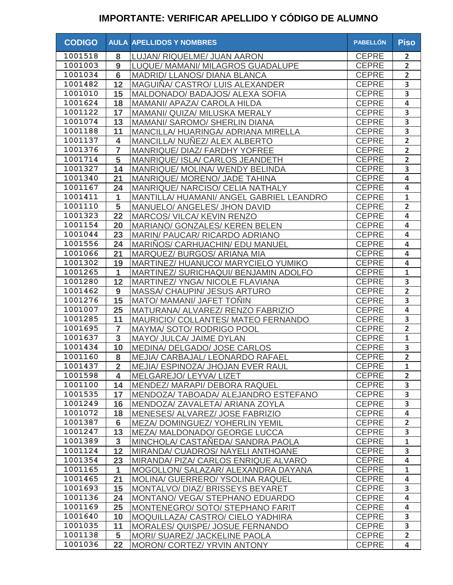| <b>CODIGO</b> |                | <b>AULA APELLIDOS Y NOMBRES</b>          | <b>PABELLÓN</b> | <b>Piso</b>             |
|---------------|----------------|------------------------------------------|-----------------|-------------------------|
| 1001518       | 8              | LUJAN/ RIQUELME/ JUAN AARON              | <b>CEPRE</b>    | $\overline{2}$          |
| 1001003       | 9              | LUQUE/ MAMANI/ MILAGROS GUADALUPE        | <b>CEPRE</b>    | $\overline{2}$          |
| 1001034       | 6              | MADRID/ LLANOS/ DIANA BLANCA             | <b>CEPRE</b>    | $\overline{\mathbf{2}}$ |
| 1001482       | 12             | MAGUIÑA/ CASTRO/ LUIS ALEXANDER          | <b>CEPRE</b>    | 3                       |
| 1001010       | 15             | MALDONADO/ BADAJOS/ ALEXA SOFIA          | <b>CEPRE</b>    | 3                       |
| 1001624       | 18             | MAMANI/ APAZA/ CAROLA HILDA              | <b>CEPRE</b>    | 4                       |
| 1001122       | 17             | MAMANI/ QUIZA/ MILUSKA MERALY            | <b>CEPRE</b>    | $\overline{\mathbf{3}}$ |
| 1001074       | 13             | MAMANI/ SAROMO/ SHERLIN DIANA            | <b>CEPRE</b>    | $\overline{3}$          |
| 1001188       | 11             | MANCILLA/ HUARINGA/ ADRIANA MIRELLA      | <b>CEPRE</b>    | $\overline{\mathbf{3}}$ |
| 1001137       | 4              | MANCILLA/ NUÑEZ/ ALEX ALBERTO            | <b>CEPRE</b>    | $\overline{2}$          |
| 1001376       | 7              | MANRIQUE/ DIAZ/ FARDHY YOFREE            | <b>CEPRE</b>    | $\overline{2}$          |
| 1001714       | 5              | MANRIQUE/ ISLA/ CARLOS JEANDETH          | <b>CEPRE</b>    | $\overline{2}$          |
| 1001327       | 14             | MANRIQUE/ MOLINA/ WENDY BELINDA          | <b>CEPRE</b>    | 3                       |
| 1001340       | 21             | MANRIQUE/ MORENO/ JADE TAHINA            | <b>CEPRE</b>    | 4                       |
| 1001167       | 24             | MANRIQUE/ NARCISO/ CELIA NATHALY         | <b>CEPRE</b>    | $\overline{\mathbf{4}}$ |
| 1001411       | 1              | MANTILLA/ HUAMANI/ ANGEL GABRIEL LEANDRO | <b>CEPRE</b>    | $\mathbf{1}$            |
| 1001110       | 5              | MANUELO/ ANGELES/ JHON DAVID             | <b>CEPRE</b>    | $\overline{2}$          |
| 1001323       | 22             | <b>MARCOS/ VILCA/ KEVIN RENZO</b>        | <b>CEPRE</b>    | 4                       |
| 1001154       | 20             | MARIANO/ GONZALES/ KEREN BELEN           | <b>CEPRE</b>    | 4                       |
| 1001044       | 23             | MARIN/ PAUCAR/ RICARDO ADRIANO           | <b>CEPRE</b>    | $\overline{\mathbf{4}}$ |
| 1001556       | 24             | MARINOS/ CARHUACHIN/ EDU MANUEL          | <b>CEPRE</b>    | $\overline{\mathbf{4}}$ |
| 1001066       | 21             | MARQUEZ/BURGOS/ARIANA MIA                | <b>CEPRE</b>    | $\overline{\mathbf{4}}$ |
| 1001302       | 19             | MARTINEZ/HUANUCO/MARYCIELO YUMIKO        | <b>CEPRE</b>    | $\overline{\mathbf{4}}$ |
| 1001265       | $\mathbf{1}$   | MARTINEZ/ SURICHAQUI/ BENJAMIN ADOLFO    | <b>CEPRE</b>    | $\mathbf{1}$            |
| 1001280       | 12             | MARTINEZ/ YNGA/ NICOLE FLAVIANA          | <b>CEPRE</b>    | 3                       |
| 1001462       | 9              | MASSA/ CHAUPIN/ JESUS ARTURO             | <b>CEPRE</b>    | $\overline{2}$          |
| 1001276       | 15             | <b>MATO/ MAMANI/ JAFET TONIN</b>         | <b>CEPRE</b>    | 3                       |
| 1001007       | 25             | MATURANA/ ALVAREZ/ RENZO FABRIZIO        | <b>CEPRE</b>    | $\overline{\mathbf{4}}$ |
| 1001285       | 11             | MAURICIO/ COLLANTES/ MATEO FERNANDO      | <b>CEPRE</b>    | $\overline{\mathbf{3}}$ |
| 1001695       | $\overline{7}$ | MAYMA/ SOTO/ RODRIGO POOL                | <b>CEPRE</b>    | $\overline{2}$          |
| 1001637       | $\overline{3}$ | MAYO/ JULCA/ JAIME DYLAN                 | <b>CEPRE</b>    | $\mathbf{1}$            |
| 1001434       | 10             | MEDINA/ DELGADO/ JOSE CARLOS             | <b>CEPRE</b>    | 3                       |
| 1001160       | 8              | MEJIA/ CARBAJAL/ LEONARDO RAFAEL         | <b>CEPRE</b>    | $\overline{2}$          |
| 1001437       | $\sim$<br>∠    | MEJIA/ ESPINOZA/ JHOJAN EVER RAUL        | <b>CEPRE</b>    | $\overline{1}$          |
| 1001598       | 4              | MELGAREJO/ LEYVA/ LIZET                  | <b>CEPRE</b>    | $\overline{2}$          |
| 1001100       | 14             | MENDEZ/ MARAPI/ DEBORA RAQUEL            | <b>CEPRE</b>    | 3                       |
| 1001535       | 17             | MENDOZA/TABOADA/ALEJANDRO ESTEFANO       | <b>CEPRE</b>    | 3                       |
| 1001249       | 16             | MENDOZA/ZAVALETA/ARIANA ZOYLA            | <b>CEPRE</b>    | $\overline{\mathbf{3}}$ |
| 1001072       | 18             | MENESES/ ALVAREZ/ JOSE FABRIZIO          | <b>CEPRE</b>    | $\overline{4}$          |
| 1001387       | $6\phantom{1}$ | MEZA/DOMINGUEZ/YOHERLIN YEMIL            | <b>CEPRE</b>    | $\overline{2}$          |
| 1001247       | 13             | MEZA/ MALDONADO/ GEORGE LUCCA            | <b>CEPRE</b>    | 3                       |
| 1001389       | $\mathbf{3}$   | MINCHOLA/ CASTANEDA/ SANDRA PAOLA        | <b>CEPRE</b>    | $\mathbf{1}$            |
| 1001124       | 12             | MIRANDA/ CUADROS/ NAYELI ANTHOANE        | <b>CEPRE</b>    | 3                       |
| 1001354       | 23             | MIRANDA/ PIZA/ CARLOS ENRIQUE ALVARO     | <b>CEPRE</b>    | 4                       |
| 1001165       | 1              | MOGOLLON/ SALAZAR/ ALEXANDRA DAYANA      | <b>CEPRE</b>    | $\mathbf{1}$            |
| 1001465       | 21             | MOLINA/ GUERRERO/ YSOLINA RAQUEL         | <b>CEPRE</b>    | 4                       |
| 1001693       | 15             | MONTALVO/DIAZ/BRISSEYS BEYARET           | <b>CEPRE</b>    | 3                       |
| 1001136       | 24             | MONTANO/ VEGA/ STEPHANO EDUARDO          | <b>CEPRE</b>    | 4                       |
| 1001169       | 25             | MONTENEGRO/ SOTO/ STEPHANO FARIT         | <b>CEPRE</b>    | $\overline{\mathbf{4}}$ |
| 1001640       | 10             | MOQUILLAZA/ CASTRO/ CIELO YADHIRA        | <b>CEPRE</b>    | 3                       |
| 1001035       | 11             | MORALES/ QUISPE/ JOSUE FERNANDO          | <b>CEPRE</b>    | 3                       |
| 1001138       | 5              | MORI/ SUAREZ/ JACKELINE PAOLA            | <b>CEPRE</b>    | $\overline{2}$          |
| 1001036       | 22             | MORON/ CORTEZ/ YRVIN ANTONY              | <b>CEPRE</b>    | $\overline{\mathbf{4}}$ |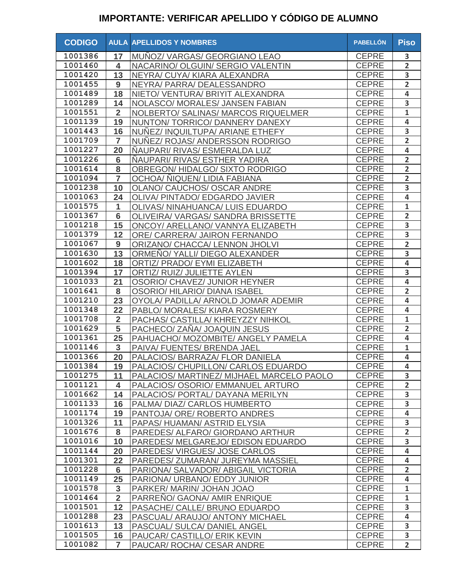| <b>CODIGO</b> |                 | <b>AULA APELLIDOS Y NOMBRES</b>           | <b>PABELLÓN</b> | <b>Piso</b>             |
|---------------|-----------------|-------------------------------------------|-----------------|-------------------------|
| 1001386       | 17              | MUNOZ/VARGAS/GEORGIANO LEAO               | <b>CEPRE</b>    | 3                       |
| 1001460       | 4               | NACARINO/ OLGUIN/ SERGIO VALENTIN         | <b>CEPRE</b>    | $\overline{2}$          |
| 1001420       | 13              | NEYRA/ CUYA/ KIARA ALEXANDRA              | <b>CEPRE</b>    | $\overline{\mathbf{3}}$ |
| 1001455       | 9               | NEYRA/ PARRA/ DEALESSANDRO                | <b>CEPRE</b>    | $\overline{2}$          |
| 1001489       | 18              | NIETO/ VENTURA/ BRIYIT ALEXANDRA          | <b>CEPRE</b>    | 4                       |
| 1001289       | 14              | NOLASCO/ MORALES/ JANSEN FABIAN           | <b>CEPRE</b>    | $\overline{\mathbf{3}}$ |
| 1001551       | $\overline{2}$  | NOLBERTO/ SALINAS/ MARCOS RIQUELMER       | <b>CEPRE</b>    | $\mathbf{1}$            |
| 1001139       | 19              | NUNTON/TORRICO/DANNERY DANEXY             | <b>CEPRE</b>    | $\overline{4}$          |
| 1001443       | 16              | NUNEZ/ INQUILTUPA/ ARIANE ETHEFY          | <b>CEPRE</b>    | 3                       |
| 1001709       | $\overline{7}$  | NUNEZ/ ROJAS/ ANDERSSON RODRIGO           | <b>CEPRE</b>    | $\overline{2}$          |
| 1001227       | 20              | NAUPARI/ RIVAS/ ESMERALDA LUZ             | <b>CEPRE</b>    | $\overline{\mathbf{4}}$ |
| 1001226       | $6\phantom{1}6$ | NAUPARI/ RIVAS/ ESTHER YADIRA             | <b>CEPRE</b>    | $\overline{2}$          |
| 1001614       | 8               | OBREGON/HIDALGO/SIXTO RODRIGO             | <b>CEPRE</b>    | $\overline{\mathbf{2}}$ |
| 1001094       | $\overline{7}$  | OCHOA/ NIQUEN/ LIDIA FABIANA              | <b>CEPRE</b>    | $\overline{2}$          |
| 1001238       | 10              | OLANO/ CAUCHOS/ OSCAR ANDRE               | <b>CEPRE</b>    | 3                       |
| 1001063       | 24              | OLIVA/ PINTADO/ EDGARDO JAVIER            | <b>CEPRE</b>    | $\overline{\mathbf{4}}$ |
| 1001575       | 1               | OLIVAS/ NINAHUANCA/ LUIS EDUARDO          | <b>CEPRE</b>    | $\mathbf 1$             |
| 1001367       | 6               | OLIVEIRA/VARGAS/SANDRA BRISSETTE          | <b>CEPRE</b>    | $\overline{2}$          |
| 1001218       | 15              | ONCOY/ ARELLANO/ VANNYA ELIZABETH         | <b>CEPRE</b>    | 3                       |
| 1001379       | 12              | ORE/ CARRERA/ JAIRON FERNANDO             | <b>CEPRE</b>    | $\overline{\mathbf{3}}$ |
| 1001067       | 9               | ORIZANO/ CHACCA/ LENNON JHOLVI            | <b>CEPRE</b>    | $\overline{2}$          |
| 1001630       | 13              | ORMENO/YALLI/DIEGO ALEXANDER              | <b>CEPRE</b>    | 3                       |
| 1001602       | 18              | ORTIZ/ PRADO/ EYMI ELIZABETH              | <b>CEPRE</b>    | 4                       |
| 1001394       | 17              | ORTIZ/ RUIZ/ JULIETTE AYLEN               | <b>CEPRE</b>    | $\overline{\mathbf{3}}$ |
| 1001033       | 21              | OSORIO/ CHAVEZ/ JUNIOR HEYNER             | <b>CEPRE</b>    | 4                       |
| 1001641       | 8               | <b>OSORIO/ HILARIO/ DIANA ISABEL</b>      | <b>CEPRE</b>    | $\overline{2}$          |
| 1001210       | 23              | OYOLA/ PADILLA/ ARNOLD JOMAR ADEMIR       | <b>CEPRE</b>    | 4                       |
| 1001348       | 22              | PABLO/ MORALES/ KIARA ROSMERY             | <b>CEPRE</b>    | $\overline{\mathbf{4}}$ |
| 1001708       | $\overline{2}$  | PACHAS/ CASTILLA/ KHREYZZY NIHKOL         | <b>CEPRE</b>    | $\mathbf{1}$            |
| 1001629       | 5               | PACHECO/ ZAÑA/ JOAQUIN JESUS              | <b>CEPRE</b>    | $\overline{2}$          |
| 1001361       | 25              | PAHUACHO/ MOZOMBITE/ ANGELY PAMELA        | <b>CEPRE</b>    | $\overline{\mathbf{4}}$ |
| 1001146       | $\overline{3}$  | PAIVA/ FUENTES/ BRENDA JAEL               | <b>CEPRE</b>    | $\mathbf{1}$            |
| 1001366       | 20              | PALACIOS/ BARRAZA/ FLOR DANIELA           | <b>CEPRE</b>    | $\overline{\mathbf{4}}$ |
| 1001384       | 19              | PALACIOS/ CHUPILLON/ CARLOS EDUARDO       | <b>CEPRE</b>    | $\overline{\mathbf{4}}$ |
| 1001275       | 11              | PALACIOS/ MARTINEZ/ MIJHAEL MARCELO PAOLO | <b>CEPRE</b>    | $\overline{\mathbf{3}}$ |
| 1001121       | 4               | PALACIOS/ OSORIO/ EMMANUEL ARTURO         | <b>CEPRE</b>    | $\overline{2}$          |
| 1001662       | 14              | PALACIOS/ PORTAL/ DAYANA MERILYN          | <b>CEPRE</b>    | 3                       |
| 1001133       | 16              | PALMA/ DIAZ/ CARLOS HUMBERTO              | <b>CEPRE</b>    | $\overline{\mathbf{3}}$ |
| 1001174       | 19              | PANTOJA/ ORE/ ROBERTO ANDRES              | <b>CEPRE</b>    | $\overline{4}$          |
| 1001326       | 11              | PAPAS/HUAMAN/ASTRID ELYSIA                | <b>CEPRE</b>    | $\overline{\mathbf{3}}$ |
| 1001676       | 8               | PAREDES/ ALFARO/ GIORDANO ARTHUR          | <b>CEPRE</b>    | $\overline{2}$          |
| 1001016       | 10              | PAREDES/ MELGAREJO/ EDISON EDUARDO        | <b>CEPRE</b>    | 3                       |
| 1001144       | 20              | PAREDES/ VIRGUES/ JOSE CARLOS             | <b>CEPRE</b>    | $\overline{\mathbf{4}}$ |
| 1001301       | 22              | PAREDES/ ZUMARAN/ JUREYMA MASSIEL         | <b>CEPRE</b>    | 4                       |
| 1001228       | 6               | PARIONA/ SALVADOR/ ABIGAIL VICTORIA       | <b>CEPRE</b>    | $\overline{2}$          |
| 1001149       | 25              | PARIONA/ URBANO/ EDDY JUNIOR              | <b>CEPRE</b>    | $\overline{\mathbf{4}}$ |
| 1001578       | 3               | PARKER/ MARIN/ JOHAN JOAO                 | <b>CEPRE</b>    | $\mathbf{1}$            |
| 1001464       | $\overline{2}$  | PARRENO/ GAONA/ AMIR ENRIQUE              | <b>CEPRE</b>    | $\mathbf{1}$            |
| 1001501       | 12              | PASACHE/ CALLE/ BRUNO EDUARDO             | <b>CEPRE</b>    | 3                       |
| 1001288       | 23              | PASCUAL/ARAUJO/ANTONY MICHAEL             | <b>CEPRE</b>    | $\overline{\mathbf{4}}$ |
| 1001613       | 13              | PASCUAL/ SULCA/ DANIEL ANGEL              | <b>CEPRE</b>    | 3                       |
| 1001505       | 16              | PAUCAR/ CASTILLO/ ERIK KEVIN              | <b>CEPRE</b>    | 3                       |
| 1001082       | 7               | PAUCAR/ ROCHA/ CESAR ANDRE                | <b>CEPRE</b>    | $\overline{2}$          |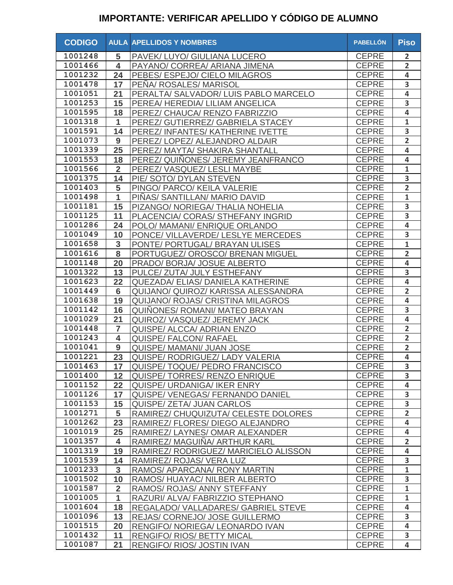| <b>CODIGO</b> |                         | <b>AULA APELLIDOS Y NOMBRES</b>          | <b>PABELLÓN</b> | <b>Piso</b>             |
|---------------|-------------------------|------------------------------------------|-----------------|-------------------------|
| 1001248       | 5                       | PAVEK/ LUYO/ GIULIANA LUCERO             | <b>CEPRE</b>    | $\overline{2}$          |
| 1001466       | $\overline{\mathbf{4}}$ | PAYANO/ CORREA/ ARIANA JIMENA            | <b>CEPRE</b>    | $\overline{2}$          |
| 1001232       | 24                      | PEBES/ ESPEJO/ CIELO MILAGROS            | <b>CEPRE</b>    | $\overline{\mathbf{4}}$ |
| 1001478       | 17                      | PEÑA/ ROSALES/ MARISOL                   | <b>CEPRE</b>    | 3                       |
| 1001051       | 21                      | PERALTA/ SALVADOR/ LUIS PABLO MARCELO    | <b>CEPRE</b>    | $\overline{\mathbf{4}}$ |
| 1001253       | 15                      | PEREA/HEREDIA/LILIAM ANGELICA            | <b>CEPRE</b>    | $\overline{\mathbf{3}}$ |
| 1001595       | 18                      | PEREZ/ CHAUCA/ RENZO FABRIZZIO           | <b>CEPRE</b>    | $\overline{\mathbf{4}}$ |
| 1001318       | $\mathbf{1}$            | PEREZ/ GUTIERREZ/ GABRIELA STACEY        | <b>CEPRE</b>    | $\mathbf{1}$            |
| 1001591       | 14                      | PEREZ/ INFANTES/ KATHERINE IVETTE        | <b>CEPRE</b>    | $\overline{\mathbf{3}}$ |
| 1001073       | $\boldsymbol{9}$        | PEREZ/ LOPEZ/ ALEJANDRO ALDAIR           | <b>CEPRE</b>    | $\overline{2}$          |
| 1001339       | 25                      | PEREZ/ MAYTA/ SHAKIRA SHANTALL           | <b>CEPRE</b>    | $\overline{\mathbf{4}}$ |
| 1001553       | 18                      | PEREZ/ QUINONES/ JEREMY JEANFRANCO       | <b>CEPRE</b>    | $\overline{\mathbf{4}}$ |
| 1001566       | $\overline{2}$          | PEREZ/VASQUEZ/LESLI MAYBE                | <b>CEPRE</b>    | $\mathbf{1}$            |
| 1001375       | 14                      | PIE/ SOTO/ DYLAN STEVEN                  | <b>CEPRE</b>    | $\overline{\mathbf{3}}$ |
| 1001403       | 5                       | PINGO/ PARCO/ KEILA VALERIE              | <b>CEPRE</b>    | $\overline{2}$          |
| 1001498       | $\mathbf{1}$            | PIÑAS/ SANTILLAN/ MARIO DAVID            | <b>CEPRE</b>    | $\mathbf{1}$            |
| 1001181       | 15                      | PIZANGO/ NORIEGA/ THALIA NOHELIA         | <b>CEPRE</b>    | 3                       |
| 1001125       | 11                      | PLACENCIA/ CORAS/ STHEFANY INGRID        | <b>CEPRE</b>    | 3                       |
| 1001286       | 24                      | POLO/ MAMANI/ ENRIQUE ORLANDO            | <b>CEPRE</b>    | 4                       |
| 1001049       | 10                      | PONCE/ VILLAVERDE/ LESLYE MERCEDES       | <b>CEPRE</b>    | 3                       |
| 1001658       | 3                       | PONTE/ PORTUGAL/ BRAYAN ULISES           | <b>CEPRE</b>    | $\mathbf{1}$            |
| 1001616       | 8                       | PORTUGUEZ/ OROSCO/ BRENAN MIGUEL         | <b>CEPRE</b>    | $\overline{2}$          |
| 1001148       | 20                      | PRADO/ BORJA/ JOSUE ALBERTO              | <b>CEPRE</b>    | 4                       |
| 1001322       | 13                      | PULCE/ ZUTA/ JULY ESTHEFANY              | <b>CEPRE</b>    | 3                       |
| 1001623       | 22                      | QUEZADA/ ELIAS/ DANIELA KATHERINE        | <b>CEPRE</b>    | $\overline{\mathbf{4}}$ |
| 1001449       | $6\phantom{1}6$         | QUIJANO/ QUIROZ/ KARISSA ALESSANDRA      | <b>CEPRE</b>    | $\overline{2}$          |
| 1001638       | 19                      | <b>QUIJANO/ ROJAS/ CRISTINA MILAGROS</b> | <b>CEPRE</b>    | $\overline{\mathbf{4}}$ |
| 1001142       | 16                      | <b>QUINONES/ ROMANI/ MATEO BRAYAN</b>    | <b>CEPRE</b>    | 3                       |
| 1001029       | 21                      | QUIROZ/VASQUEZ/JEREMYJACK                | <b>CEPRE</b>    | $\overline{\mathbf{4}}$ |
| 1001448       | 7                       | QUISPE/ ALCCA/ ADRIAN ENZO               | <b>CEPRE</b>    | $\overline{2}$          |
| 1001243       | 4                       | <b>QUISPE/ FALCON/ RAFAEL</b>            | <b>CEPRE</b>    | $\overline{\mathbf{2}}$ |
| 1001041       | 9                       | QUISPE/ MAMANI/ JUAN JOSE                | <b>CEPRE</b>    | $\overline{2}$          |
| 1001221       | 23                      | QUISPE/ RODRIGUEZ/ LADY VALERIA          | <b>CEPRE</b>    | $\overline{\mathbf{4}}$ |
| 1001463       | 17 <sub>1</sub>         | QUISPE/ TOQUE/ PEDRO FRANCISCO           | CEPRE           | $\overline{\mathbf{3}}$ |
| 1001400       | 12                      | QUISPE/ TORRES/ RENZO ENRIQUE            | <b>CEPRE</b>    | 3                       |
| 1001152       | 22                      | <b>QUISPE/ URDANIGA/ IKER ENRY</b>       | <b>CEPRE</b>    | $\overline{\mathbf{4}}$ |
| 1001126       | 17                      | QUISPE/ VENEGAS/ FERNANDO DANIEL         | <b>CEPRE</b>    | 3                       |
| 1001153       | 15                      | <b>QUISPE/ ZETA/ JUAN CARLOS</b>         | <b>CEPRE</b>    | $\overline{\mathbf{3}}$ |
| 1001271       | 5                       | RAMIREZ/ CHUQUIZUTA/ CELESTE DOLORES     | <b>CEPRE</b>    | $\overline{2}$          |
| 1001262       | 23                      | RAMIREZ/ FLORES/ DIEGO ALEJANDRO         | <b>CEPRE</b>    | $\overline{4}$          |
| 1001019       | 25                      | RAMIREZ/ LAYNES/ OMAR ALEXANDER          | <b>CEPRE</b>    | $\overline{4}$          |
| 1001357       | 4                       | RAMIREZ/ MAGUIÑA/ ARTHUR KARL            | <b>CEPRE</b>    | $\overline{2}$          |
| 1001319       | 19                      | RAMIREZ/ RODRIGUEZ/ MARICIELO ALISSON    | <b>CEPRE</b>    | $\overline{\mathbf{4}}$ |
| 1001539       | 14                      | RAMIREZ/ ROJAS/ VERA LUZ                 | <b>CEPRE</b>    | 3                       |
| 1001233       | 3                       | RAMOS/ APARCANA/ RONY MARTIN             | <b>CEPRE</b>    | $\mathbf{1}$            |
| 1001502       | 10                      | RAMOS/HUAYAC/NILBER ALBERTO              | <b>CEPRE</b>    | 3                       |
| 1001587       | $\overline{2}$          | RAMOS/ ROJAS/ ANNY STEFFANY              | <b>CEPRE</b>    | $\mathbf{1}$            |
| 1001005       | $\mathbf{1}$            | RAZURI/ ALVA/ FABRIZZIO STEPHANO         | <b>CEPRE</b>    | $\mathbf{1}$            |
| 1001604       | 18                      | REGALADO/ VALLADARES/ GABRIEL STEVE      | <b>CEPRE</b>    | $\overline{\mathbf{4}}$ |
| 1001096       | 13                      | REJAS/ CORNEJO/ JOSE GUILLERMO           | <b>CEPRE</b>    | 3                       |
| 1001515       | 20                      | RENGIFO/ NORIEGA/ LEONARDO IVAN          | <b>CEPRE</b>    | $\overline{\mathbf{4}}$ |
| 1001432       | 11                      | <b>RENGIFO/ RIOS/ BETTY MICAL</b>        | <b>CEPRE</b>    | 3                       |
| 1001087       | 21                      | <b>RENGIFO/ RIOS/ JOSTIN IVAN</b>        | <b>CEPRE</b>    | 4                       |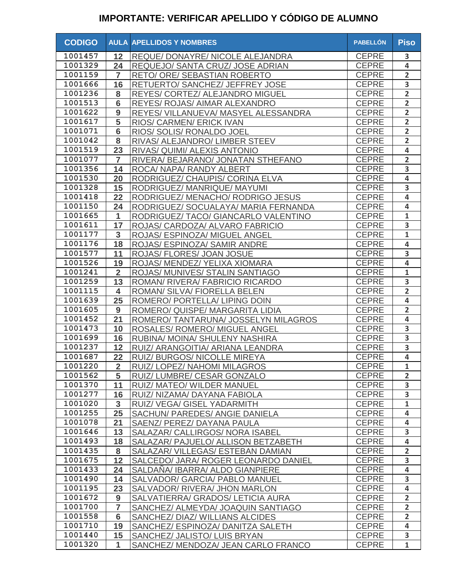| <b>CODIGO</b> |                 | <b>AULA APELLIDOS Y NOMBRES</b>      | <b>PABELLÓN</b> | <b>Piso</b>             |
|---------------|-----------------|--------------------------------------|-----------------|-------------------------|
| 1001457       | 12              | REQUE/ DONAYRE/ NICOLE ALEJANDRA     | <b>CEPRE</b>    | 3                       |
| 1001329       | 24              | REQUEJO/ SANTA CRUZ/ JOSE ADRIAN     | <b>CEPRE</b>    | 4                       |
| 1001159       | $\overline{7}$  | RETO/ ORE/ SEBASTIAN ROBERTO         | <b>CEPRE</b>    | $\overline{\mathbf{2}}$ |
| 1001666       | 16              | RETUERTO/ SANCHEZ/ JEFFREY JOSE      | <b>CEPRE</b>    | $\overline{\mathbf{3}}$ |
| 1001236       | 8               | REYES/ CORTEZ/ ALEJANDRO MIGUEL      | <b>CEPRE</b>    | $\overline{2}$          |
| 1001513       | $6\phantom{1}$  | REYES/ ROJAS/ AIMAR ALEXANDRO        | <b>CEPRE</b>    | $\overline{2}$          |
| 1001622       | 9               | REYES/ VILLANUEVA/ MASYEL ALESSANDRA | <b>CEPRE</b>    | $\overline{2}$          |
| 1001617       | $\overline{5}$  | RIOS/ CARMEN/ ERICK IVAN             | <b>CEPRE</b>    | $\overline{2}$          |
| 1001071       | $6\phantom{1}6$ | RIOS/ SOLIS/ RONALDO JOEL            | <b>CEPRE</b>    | $\overline{2}$          |
| 1001042       | 8               | RIVAS/ ALEJANDRO/ LIMBER STEEV       | <b>CEPRE</b>    | $\overline{2}$          |
| 1001519       | 23              | RIVAS/ QUIMI/ ALEXIS ANTONIO         | <b>CEPRE</b>    | $\overline{\mathbf{4}}$ |
| 1001077       | $\overline{7}$  | RIVERA/ BEJARANO/ JONATAN STHEFANO   | <b>CEPRE</b>    | $\overline{2}$          |
| 1001356       | 14              | ROCA/ NAPA/ RANDY ALBERT             | <b>CEPRE</b>    | 3                       |
| 1001530       | 20              | RODRIGUEZ/ CHAUPIS/ CORINA ELVA      | <b>CEPRE</b>    | $\overline{\mathbf{4}}$ |
| 1001328       | 15              | RODRIGUEZ/ MANRIQUE/ MAYUMI          | <b>CEPRE</b>    | 3                       |
| 1001418       | 22              | RODRIGUEZ/ MENACHO/ RODRIGO JESUS    | <b>CEPRE</b>    | $\overline{\mathbf{4}}$ |
| 1001150       | 24              | RODRIGUEZ/ SOCUALAYA/ MARIA FERNANDA | <b>CEPRE</b>    | 4                       |
| 1001665       | 1               | RODRIGUEZ/ TACO/ GIANCARLO VALENTINO | <b>CEPRE</b>    | $\mathbf{1}$            |
| 1001611       | 17              | ROJAS/ CARDOZA/ ALVARO FABRICIO      | <b>CEPRE</b>    | 3                       |
| 1001177       | 3               | ROJAS/ ESPINOZA/ MIGUEL ANGEL        | <b>CEPRE</b>    | $\mathbf{1}$            |
| 1001176       | 18              | ROJAS/ ESPINOZA/ SAMIR ANDRE         | <b>CEPRE</b>    | $\overline{\mathbf{4}}$ |
| 1001577       | 11              | ROJAS/ FLORES/ JOAN JOSUE            | <b>CEPRE</b>    | 3                       |
| 1001526       | 19              | ROJAS/ MENDEZ/ YELIXA XIOMARA        | <b>CEPRE</b>    | 4                       |
| 1001241       | $\overline{2}$  | ROJAS/ MUNIVES/ STALIN SANTIAGO      | <b>CEPRE</b>    | $\mathbf{1}$            |
| 1001259       | 13              | ROMAN/ RIVERA/ FABRICIO RICARDO      | <b>CEPRE</b>    | 3                       |
| 1001115       | 4               | ROMAN/ SILVA/ FIORELLA BELEN         | <b>CEPRE</b>    | $\overline{2}$          |
| 1001639       | 25              | ROMERO/ PORTELLA/ LIPING DOIN        | <b>CEPRE</b>    | 4                       |
| 1001605       | 9               | ROMERO/ QUISPE/ MARGARITA LIDIA      | <b>CEPRE</b>    | $\overline{2}$          |
| 1001452       | 21              | ROMERO/ TANTARUNA/ JOSSELYN MILAGROS | <b>CEPRE</b>    | $\overline{\mathbf{4}}$ |
| 1001473       | 10              | ROSALES/ ROMERO/ MIGUEL ANGEL        | <b>CEPRE</b>    | 3                       |
| 1001699       | 16              | RUBINA/ MOINA/ SHULENY NASHIRA       | <b>CEPRE</b>    | 3                       |
| 1001237       | 12              | RUIZ/ ARANGOITIA/ ARIANA LEANDRA     | <b>CEPRE</b>    | 3                       |
| 1001687       | 22              | RUIZ/ BURGOS/ NICOLLE MIREYA         | <b>CEPRE</b>    | $\overline{\mathbf{4}}$ |
| 1001220       | $\sim$<br>4     | RUIZ/ LOPEZ/ NAHOMI MILAGROS         | <b>CEPRE</b>    | $\mathbf{1}$            |
| 1001562       | 5               | RUIZ/LUMBRE/ CESAR GONZALO           | <b>CEPRE</b>    | $\overline{2}$          |
| 1001370       | 11              | RUIZ/ MATEO/ WILDER MANUEL           | <b>CEPRE</b>    | 3                       |
| 1001277       | 16              | RUIZ/ NIZAMA/ DAYANA FABIOLA         | <b>CEPRE</b>    | 3                       |
| 1001020       | $\mathbf{3}$    | RUIZ/ VEGA/ GISEL YADARMITH          | <b>CEPRE</b>    | $\mathbf{1}$            |
| 1001255       | 25              | SACHUN/ PAREDES/ ANGIE DANIELA       | <b>CEPRE</b>    | $\overline{4}$          |
| 1001078       | 21              | SAENZ/ PEREZ/ DAYANA PAULA           | <b>CEPRE</b>    | $\overline{4}$          |
| 1001646       | 13              | SALAZAR/ CALLIRGOS/ NORA ISABEL      | <b>CEPRE</b>    | 3                       |
| 1001493       | 18              | SALAZAR/ PAJUELO/ ALLISON BETZABETH  | <b>CEPRE</b>    | $\overline{4}$          |
| 1001435       | 8               | SALAZAR/ VILLEGAS/ ESTEBAN DAMIAN    | <b>CEPRE</b>    | $\overline{2}$          |
| 1001675       | 12              | SALCEDO/ JARA/ ROGER LEONARDO DANIEL | <b>CEPRE</b>    | 3                       |
| 1001433       | 24              | SALDANA/ IBARRA/ ALDO GIANPIERE      | <b>CEPRE</b>    | $\overline{\mathbf{4}}$ |
| 1001490       | 14              | SALVADOR/ GARCIA/ PABLO MANUEL       | <b>CEPRE</b>    | 3                       |
| 1001195       | 23              | SALVADOR/ RIVERA/ JHON MARLON        | <b>CEPRE</b>    | $\overline{\mathbf{4}}$ |
| 1001672       | 9               | SALVATIERRA/ GRADOS/ LETICIA AURA    | <b>CEPRE</b>    | $\overline{2}$          |
| 1001700       | 7               | SANCHEZ/ ALMEYDA/ JOAQUIN SANTIAGO   | <b>CEPRE</b>    | $\overline{2}$          |
| 1001558       | $6\phantom{1}6$ | SANCHEZ/ DIAZ/ WILLIANS ALCIDES      | <b>CEPRE</b>    | $\overline{2}$          |
| 1001710       | 19              | SANCHEZ/ ESPINOZA/ DANITZA SALETH    | <b>CEPRE</b>    | 4                       |
| 1001440       | 15              | SANCHEZ/ JALISTO/ LUIS BRYAN         | <b>CEPRE</b>    | 3                       |
| 1001320       | 1               | SANCHEZ/ MENDOZA/ JEAN CARLO FRANCO  | <b>CEPRE</b>    | $\mathbf{1}$            |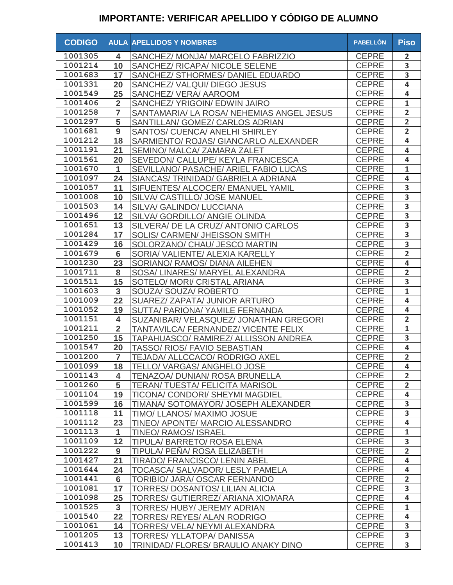| <b>CODIGO</b> |                         | <b>AULA APELLIDOS Y NOMBRES</b>           | <b>PABELLÓN</b> | <b>Piso</b>             |
|---------------|-------------------------|-------------------------------------------|-----------------|-------------------------|
| 1001305       | 4                       | SANCHEZ/ MONJA/ MARCELO FABRIZZIO         | <b>CEPRE</b>    | $\overline{2}$          |
| 1001214       | 10                      | SANCHEZ/ RICAPA/ NICOLE SELENE            | <b>CEPRE</b>    | 3                       |
| 1001683       | 17                      | SANCHEZ/ STHORMES/ DANIEL EDUARDO         | <b>CEPRE</b>    | 3                       |
| 1001331       | 20                      | SANCHEZ/ VALQUI/ DIEGO JESUS              | <b>CEPRE</b>    | $\overline{\mathbf{4}}$ |
| 1001549       | 25                      | SANCHEZ/ VERA/ AAROOM                     | <b>CEPRE</b>    | 4                       |
| 1001406       | $\overline{2}$          | SANCHEZ/ YRIGOIN/ EDWIN JAIRO             | <b>CEPRE</b>    | $\mathbf{1}$            |
| 1001258       | $\overline{7}$          | SANTAMARIA/ LA ROSA/ NEHEMIAS ANGEL JESUS | <b>CEPRE</b>    | $\overline{2}$          |
| 1001297       | 5                       | SANTILLAN/ GOMEZ/ CARLOS ADRIAN           | <b>CEPRE</b>    | $\overline{2}$          |
| 1001681       | 9                       | SANTOS/ CUENCA/ ANELHI SHIRLEY            | <b>CEPRE</b>    | $\overline{2}$          |
| 1001212       | 18                      | SARMIENTO/ ROJAS/ GIANCARLO ALEXANDER     | <b>CEPRE</b>    | $\overline{\mathbf{4}}$ |
| 1001191       | 21                      | SEMINO/ MALCA/ ZAMARA ZALET               | <b>CEPRE</b>    | $\overline{\mathbf{4}}$ |
| 1001561       | 20                      | SEVEDON/ CALLUPE/ KEYLA FRANCESCA         | <b>CEPRE</b>    | $\overline{\mathbf{4}}$ |
| 1001670       | $\mathbf{1}$            | SEVILLANO/ PASACHE/ ARIEL FABIO LUCAS     | <b>CEPRE</b>    | $\mathbf{1}$            |
| 1001097       | 24                      | SIANCAS/ TRINIDAD/ GABRIELA ADRIANA       | <b>CEPRE</b>    | 4                       |
| 1001057       | 11                      | SIFUENTES/ ALCOCER/ EMANUEL YAMIL         | <b>CEPRE</b>    | 3                       |
| 1001008       | 10                      | SILVA/ CASTILLO/ JOSE MANUEL              | <b>CEPRE</b>    | $\overline{\mathbf{3}}$ |
| 1001503       | 14                      | SILVA/ GALINDO/ LUCCIANA                  | <b>CEPRE</b>    | 3                       |
| 1001496       | 12                      | SILVA/ GORDILLO/ ANGIE OLINDA             | <b>CEPRE</b>    | $\overline{\mathbf{3}}$ |
| 1001651       | 13                      | SILVERA/ DE LA CRUZ/ ANTONIO CARLOS       | <b>CEPRE</b>    | 3                       |
| 1001284       | 17                      | SOLIS/ CARMEN/ JHEISSON SMITH             | <b>CEPRE</b>    | 3                       |
| 1001429       | 16                      | SOLORZANO/ CHAU/ JESCO MARTIN             | <b>CEPRE</b>    | 3                       |
| 1001679       | $6\phantom{1}$          | SORIA/ VALIENTE/ ALEXIA KARELLY           | <b>CEPRE</b>    | $\overline{2}$          |
| 1001230       | 23                      | SORIANO/ RAMOS/ DIANA AILEHEN             | <b>CEPRE</b>    | $\overline{\mathbf{4}}$ |
| 1001711       | 8                       | SOSA/ LINARES/ MARYEL ALEXANDRA           | <b>CEPRE</b>    | $\overline{2}$          |
| 1001511       | 15                      | SOTELO/ MORI/ CRISTAL ARIANA              | <b>CEPRE</b>    | 3                       |
| 1001603       | 3                       | <b>SOUZA/ SOUZA/ ROBERTO</b>              | <b>CEPRE</b>    | $\overline{\mathbf{1}}$ |
| 1001009       | 22                      | SUAREZ/ ZAPATA/ JUNIOR ARTURO             | <b>CEPRE</b>    | 4                       |
| 1001052       | 19                      | SUTTA/ PARIONA/ YAMILE FERNANDA           | <b>CEPRE</b>    | $\overline{\mathbf{4}}$ |
| 1001151       | $\overline{\mathbf{4}}$ | SUZANIBAR/ VELASQUEZ/ JONATHAN GREGORI    | <b>CEPRE</b>    | $\overline{2}$          |
| 1001211       | $\overline{2}$          | TANTAVILCA/ FERNANDEZ/ VICENTE FELIX      | <b>CEPRE</b>    | $\mathbf{1}$            |
| 1001250       | 15                      | TAPAHUASCO/ RAMIREZ/ ALLISSON ANDREA      | <b>CEPRE</b>    | $\overline{\mathbf{3}}$ |
| 1001547       | 20                      | TASSO/ RIOS/ FAVIO SEBASTIAN              | <b>CEPRE</b>    | $\overline{\mathbf{4}}$ |
| 1001200       | $\overline{7}$          | TEJADA/ ALLCCACO/ RODRIGO AXEL            | <b>CEPRE</b>    | $\overline{2}$          |
| 1001099       | 18                      | TELLO/VARGAS/ANGHELO JOSE                 | <b>CEPRE</b>    | $\overline{\mathbf{4}}$ |
| 1001143       | 4                       | <b>TENAZOA/ DUNIAN/ ROSA BRUNELLA</b>     | <b>CEPRE</b>    | $\overline{2}$          |
| 1001260       | 5                       | <b>TERAN/ TUESTA/ FELICITA MARISOL</b>    | <b>CEPRE</b>    | $\overline{2}$          |
| 1001104       | 19                      | TICONA/ CONDORI/ SHEYMI MAGDIEL           | <b>CEPRE</b>    | 4                       |
| 1001599       | 16                      | TIMANA/ SOTOMAYOR/ JOSEPH ALEXANDER       | <b>CEPRE</b>    | $\overline{\mathbf{3}}$ |
| 1001118       | 11                      | TIMO/ LLANOS/ MAXIMO JOSUE                | <b>CEPRE</b>    | $\overline{\mathbf{3}}$ |
| 1001112       | 23                      | TINEO/ APONTE/ MARCIO ALESSANDRO          | <b>CEPRE</b>    | $\overline{4}$          |
| 1001113       | 1                       | <b>TINEO/ RAMOS/ ISRAEL</b>               | <b>CEPRE</b>    | $\mathbf{1}$            |
| 1001109       | 12                      | TIPULA/BARRETO/ROSA ELENA                 | <b>CEPRE</b>    | 3                       |
| 1001222       | 9                       | TIPULA/ PENA/ ROSA ELIZABETH              | <b>CEPRE</b>    | $\overline{2}$          |
| 1001427       | 21                      | <b>TIRADO/ FRANCISCO/ LENIN ABEL</b>      | <b>CEPRE</b>    | 4                       |
| 1001644       | 24                      | TOCASCA/ SALVADOR/ LESLY PAMELA           | <b>CEPRE</b>    | $\overline{\mathbf{4}}$ |
| 1001441       | 6                       | TORIBIO/ JARA/ OSCAR FERNANDO             | <b>CEPRE</b>    | $\overline{2}$          |
| 1001081       | 17                      | TORRES/ DOSANTOS/ LILIAN ALICIA           | <b>CEPRE</b>    | 3                       |
| 1001098       | 25                      | TORRES/ GUTIERREZ/ ARIANA XIOMARA         | <b>CEPRE</b>    | 4                       |
| 1001525       | $\mathbf{3}$            | TORRES/ HUBY/ JEREMY ADRIAN               | <b>CEPRE</b>    | $\mathbf{1}$            |
| 1001540       | 22                      | TORRES/ REYES/ ALAN RODRIGO               | <b>CEPRE</b>    | $\overline{\mathbf{4}}$ |
| 1001061       | 14                      | TORRES/ VELA/ NEYMI ALEXANDRA             | <b>CEPRE</b>    | 3                       |
| 1001205       | 13                      | TORRES/YLLATOPA/DANISSA                   | <b>CEPRE</b>    | 3                       |
| 1001413       | 10                      | TRINIDAD/ FLORES/ BRAULIO ANAKY DINO      | <b>CEPRE</b>    | $\overline{\mathbf{3}}$ |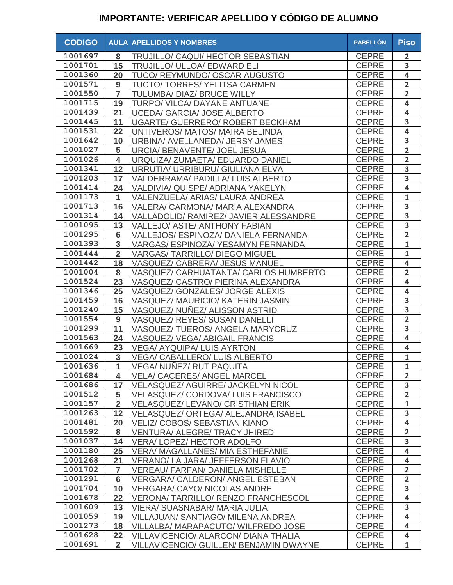| <b>CODIGO</b> |                         | <b>AULA APELLIDOS Y NOMBRES</b>                | <b>PABELLÓN</b> | <b>Piso</b>             |
|---------------|-------------------------|------------------------------------------------|-----------------|-------------------------|
| 1001697       | 8                       | TRUJILLO/ CAQUI/ HECTOR SEBASTIAN              | <b>CEPRE</b>    | $\overline{2}$          |
| 1001701       | 15                      | <b>TRUJILLO/ ULLOA/ EDWARD ELI</b>             | <b>CEPRE</b>    | 3                       |
| 1001360       | 20                      | TUCO/ REYMUNDO/ OSCAR AUGUSTO                  | <b>CEPRE</b>    | 4                       |
| 1001571       | 9                       | TUCTO/ TORRES/ YELITSA CARMEN                  | <b>CEPRE</b>    | $\overline{2}$          |
| 1001550       | $\overline{7}$          | TULUMBA/ DIAZ/ BRUCE WILLY                     | <b>CEPRE</b>    | $\overline{2}$          |
| 1001715       | 19                      | TURPO/ VILCA/ DAYANE ANTUANE                   | <b>CEPRE</b>    | 4                       |
| 1001439       | 21                      | UCEDA/ GARCIA/ JOSE ALBERTO                    | <b>CEPRE</b>    | 4                       |
| 1001445       | 11                      | <b>UGARTE/ GUERRERO/ ROBERT BECKHAM</b>        | <b>CEPRE</b>    | $\overline{\mathbf{3}}$ |
| 1001531       | 22                      | UNTIVEROS/ MATOS/ MAIRA BELINDA                | <b>CEPRE</b>    | $\overline{\mathbf{4}}$ |
| 1001642       | 10                      | URBINA/ AVELLANEDA/ JERSY JAMES                | <b>CEPRE</b>    | 3                       |
| 1001027       | 5                       | URCIA/ BENAVENTE/ JOEL JESUA                   | <b>CEPRE</b>    | $\overline{2}$          |
| 1001026       | $\overline{\mathbf{4}}$ | URQUIZA/ ZUMAETA/ EDUARDO DANIEL               | <b>CEPRE</b>    | $\overline{2}$          |
| 1001341       | 12                      | URRUTIA/ URRIBURU/ GIULIANA ELVA               | <b>CEPRE</b>    | 3                       |
| 1001203       | 17                      | <b>VALDERRAMA/ PADILLA/ LUIS ALBERTO</b>       | <b>CEPRE</b>    | 3                       |
| 1001414       | 24                      | VALDIVIA/ QUISPE/ ADRIANA YAKELYN              | <b>CEPRE</b>    | 4                       |
| 1001173       | $\mathbf{1}$            | VALENZUELA/ ARIAS/ LAURA ANDREA                | <b>CEPRE</b>    | $\mathbf{1}$            |
| 1001713       | 16                      | VALERA/ CARMONA/ MARIA ALEXANDRA               | <b>CEPRE</b>    | 3                       |
| 1001314       | 14                      | VALLADOLID/ RAMIREZ/ JAVIER ALESSANDRE         | <b>CEPRE</b>    | $\overline{\mathbf{3}}$ |
| 1001095       | 13                      | <b>VALLEJO/ ASTE/ ANTHONY FABIAN</b>           | <b>CEPRE</b>    | $\overline{\mathbf{3}}$ |
| 1001295       | 6                       | VALLEJOS/ ESPINOZA/ DANIELA FERNANDA           | <b>CEPRE</b>    | $\overline{2}$          |
| 1001393       | 3                       | VARGAS/ ESPINOZA/ YESAMYN FERNANDA             | <b>CEPRE</b>    | $\mathbf{1}$            |
| 1001444       | $\overline{2}$          | <b>VARGAS/ TARRILLO/ DIEGO MIGUEL</b>          | <b>CEPRE</b>    | $\mathbf{1}$            |
| 1001442       | 18                      | VASQUEZ/ CABRERA/ JESUS MANUEL                 | <b>CEPRE</b>    | $\overline{\mathbf{4}}$ |
| 1001004       | 8                       | VASQUEZ/ CARHUATANTA/ CARLOS HUMBERTO          | <b>CEPRE</b>    | $\overline{2}$          |
| 1001524       | 23                      | VASQUEZ/ CASTRO/ PIERINA ALEXANDRA             | <b>CEPRE</b>    | $\overline{\mathbf{4}}$ |
| 1001346       | 25                      | VASQUEZ/ GONZALES/ JORGE ALEXIS                | <b>CEPRE</b>    | $\overline{\mathbf{4}}$ |
| 1001459       | 16                      | VASQUEZ/ MAURICIO/ KATERIN JASMIN              | <b>CEPRE</b>    | 3                       |
| 1001240       | 15                      | VASQUEZ/ NUNEZ/ ALISSON ASTRID                 | <b>CEPRE</b>    | $\overline{\mathbf{3}}$ |
| 1001554       | 9                       | VASQUEZ/ REYES/ SUSAN DANELLI                  | <b>CEPRE</b>    | $\overline{2}$          |
| 1001299       | 11                      | VASQUEZ/TUEROS/ANGELA MARYCRUZ                 | <b>CEPRE</b>    | 3                       |
| 1001563       | 24                      | VASQUEZ/ VEGA/ ABIGAIL FRANCIS                 | <b>CEPRE</b>    | 4                       |
| 1001669       | 23                      | <b>VEGA/ AYQUIPA/ LUIS AYRTON</b>              | <b>CEPRE</b>    | $\overline{\mathbf{4}}$ |
| 1001024       | 3                       | <b>VEGA/ CABALLERO/ LUIS ALBERTO</b>           | <b>CEPRE</b>    | $\mathbf{1}$            |
| 1001636       | $\overline{A}$          | VEGA/ NUÑEZ/ RUT PAQUITA                       | CEPRE           | $\mathbf 1$             |
| 1001684       | 4                       | <b>VELA/ CACERES/ ANGEL MARCEL</b>             | <b>CEPRE</b>    | $\overline{2}$          |
| 1001686       | 17                      | <b>VELASQUEZ/ AGUIRRE/ JACKELYN NICOL</b>      | <b>CEPRE</b>    | 3                       |
| 1001512       | 5                       | <b>VELASQUEZ/ CORDOVA/ LUIS FRANCISCO</b>      | <b>CEPRE</b>    | $\overline{2}$          |
| 1001157       | $\overline{2}$          | <b>VELASQUEZ/ LEVANO/ CRISTHIAN ERIK</b>       | <b>CEPRE</b>    | $\mathbf{1}$            |
| 1001263       | 12                      | <b>VELASQUEZ/ ORTEGA/ ALEJANDRA ISABEL</b>     | <b>CEPRE</b>    | 3                       |
| 1001481       | 20                      | <b>VELIZ/ COBOS/ SEBASTIAN KIANO</b>           | <b>CEPRE</b>    | 4                       |
| 1001592       | 8                       | <b>VENTURA/ ALEGRE/ TRACY JHIRED</b>           | <b>CEPRE</b>    | $\overline{2}$          |
| 1001037       | 14                      | <b>VERA/LOPEZ/HECTOR ADOLFO</b>                | <b>CEPRE</b>    | 3                       |
| 1001180       | 25                      | <b>VERA/ MAGALLANES/ MIA ESTHEFANIE</b>        | <b>CEPRE</b>    | 4                       |
| 1001268       | 21                      | <b>VERANO/ LA JARA/ JEFFERSON FLAVIO</b>       | <b>CEPRE</b>    | $\overline{\mathbf{4}}$ |
| 1001702       | 7                       | <b>VEREAU/ FARFAN/ DANIELA MISHELLE</b>        | <b>CEPRE</b>    | $\overline{2}$          |
| 1001291       | $6\phantom{1}$          | <b>VERGARA/ CALDERON/ ANGEL ESTEBAN</b>        | <b>CEPRE</b>    | $\overline{2}$          |
| 1001704       | 10                      | <b>VERGARA/ CAYO/ NICOLAS ANDRE</b>            | <b>CEPRE</b>    | $\overline{\mathbf{3}}$ |
| 1001678       | 22                      | <b>VERONA/ TARRILLO/ RENZO FRANCHESCOL</b>     | <b>CEPRE</b>    | $\overline{\mathbf{4}}$ |
| 1001609       | 13                      | <b>VIERA/ SUASNABAR/ MARIA JULIA</b>           | <b>CEPRE</b>    | 3                       |
| 1001059       | 19                      | <b>VILLAJUAN/ SANTIAGO/ MILENA ANDREA</b>      | <b>CEPRE</b>    | $\overline{\mathbf{4}}$ |
| 1001273       | 18                      | VILLALBA/ MARAPACUTO/ WILFREDO JOSE            | <b>CEPRE</b>    | $\overline{\mathbf{4}}$ |
| 1001628       | 22                      | VILLAVICENCIO/ ALARCON/ DIANA THALIA           | <b>CEPRE</b>    | $\overline{\mathbf{4}}$ |
| 1001691       | $\overline{2}$          | <b>VILLAVICENCIO/ GUILLEN/ BENJAMIN DWAYNE</b> | <b>CEPRE</b>    | $\mathbf{1}$            |